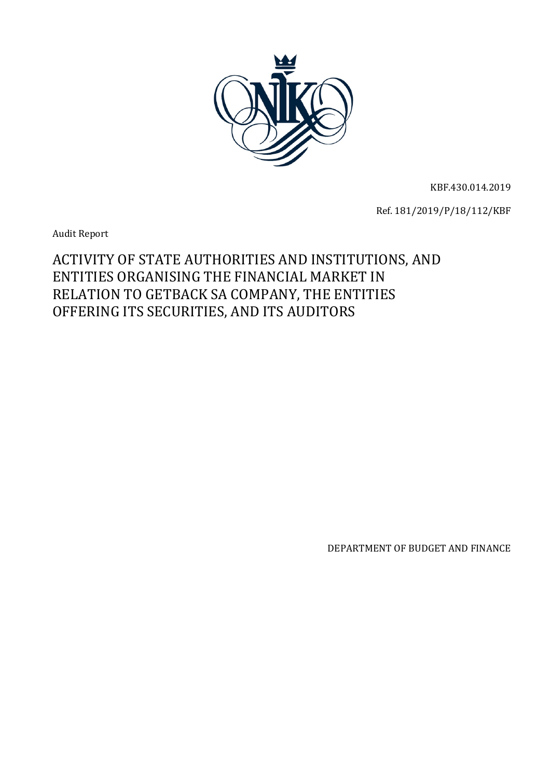

KBF.430.014.2019

Ref. 181/2019/P/18/112/KBF

Audit Report

# ACTIVITY OF STATE AUTHORITIES AND INSTITUTIONS, AND ENTITIES ORGANISING THE FINANCIAL MARKET IN RELATION TO GETBACK SA COMPANY, THE ENTITIES OFFERING ITS SECURITIES, AND ITS AUDITORS

DEPARTMENT OF BUDGET AND FINANCE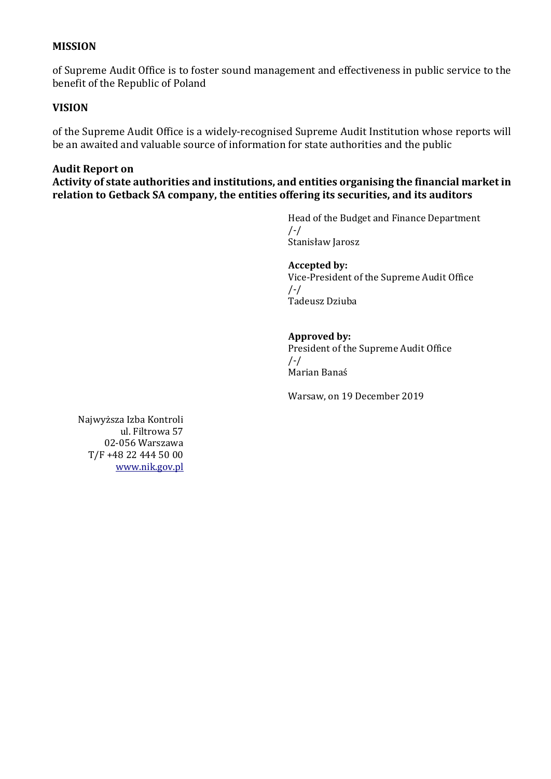## **MISSION**

of Supreme Audit Office is to foster sound management and effectiveness in public service to the benefit of the Republic of Poland

## **VISION**

of the Supreme Audit Office is a widely-recognised Supreme Audit Institution whose reports will be an awaited and valuable source of information for state authorities and the public

### **Audit Report on**

**Activity of state authorities and institutions, and entities organising the financial market in relation to Getback SA company, the entities offering its securities, and its auditors**

> Head of the Budget and Finance Department /-/ Stanisław Jarosz

#### **Accepted by:**

Vice-President of the Supreme Audit Office /-/ Tadeusz Dziuba

### **Approved by:**

President of the Supreme Audit Office /-/ Marian Banaś

Warsaw, on 19 December 2019

Najwyższa Izba Kontroli ul. Filtrowa 57 02-056 Warszawa T/F +48 22 444 50 00 [www.nik.gov.pl](http://www.nik.gov.pl/)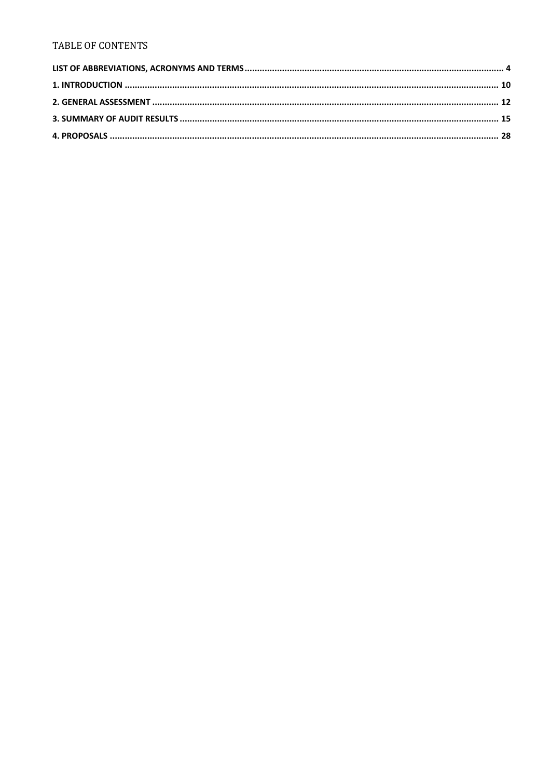#### **TABLE OF CONTENTS**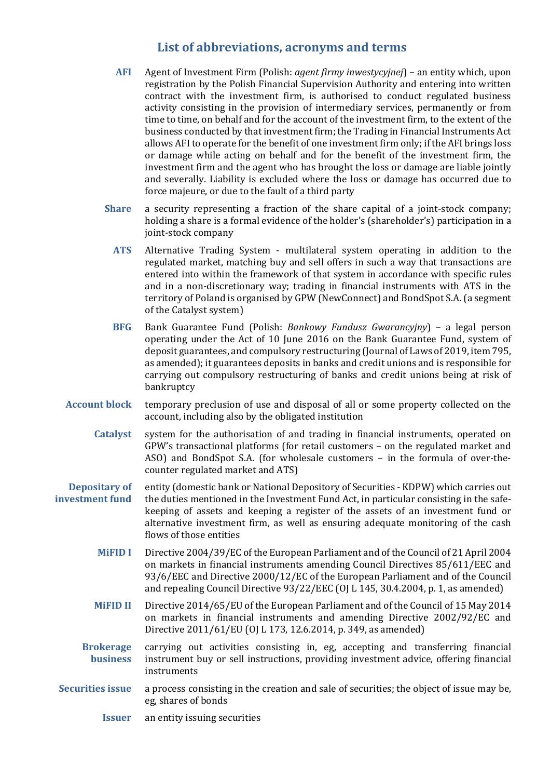## **List of abbreviations, acronyms and terms**

- <span id="page-3-0"></span>**AFI** Agent of Investment Firm (Polish: *agent firmy inwestycyjnej*) – an entity which, upon registration by the Polish Financial Supervision Authority and entering into written contract with the investment firm, is authorised to conduct regulated business activity consisting in the provision of intermediary services, permanently or from time to time, on behalf and for the account of the investment firm, to the extent of the business conducted by that investment firm; the Trading in Financial Instruments Act allows AFI to operate for the benefit of one investment firm only; if the AFI brings loss or damage while acting on behalf and for the benefit of the investment firm, the investment firm and the agent who has brought the loss or damage are liable jointly and severally. Liability is excluded where the loss or damage has occurred due to force majeure, or due to the fault of a third party
- **Share** a security representing a fraction of the share capital of a joint-stock company; holding a share is a formal evidence of the holder's (shareholder's) participation in a joint-stock company
	- **ATS** Alternative Trading System multilateral system operating in addition to the regulated market, matching buy and sell offers in such a way that transactions are entered into within the framework of that system in accordance with specific rules and in a non-discretionary way; trading in financial instruments with ATS in the territory of Poland is organised by GPW (NewConnect) and BondSpot S.A. (a segment of the Catalyst system)
- **BFG** Bank Guarantee Fund (Polish: *Bankowy Fundusz Gwarancyjny*) a legal person operating under the Act of 10 June 2016 on the Bank Guarantee Fund, system of deposit guarantees, and compulsory restructuring (Journal of Laws of 2019, item 795, as amended); it guarantees deposits in banks and credit unions and is responsible for carrying out compulsory restructuring of banks and credit unions being at risk of bankruptcy
- **Account block** temporary preclusion of use and disposal of all or some property collected on the account, including also by the obligated institution
	- **Catalyst** system for the authorisation of and trading in financial instruments, operated on GPW's transactional platforms (for retail customers – on the regulated market and ASO) and BondSpot S.A. (for wholesale customers – in the formula of over-thecounter regulated market and ATS)
- **Depositary of investment fund** entity (domestic bank or National Depository of Securities - KDPW) which carries out the duties mentioned in the Investment Fund Act, in particular consisting in the safekeeping of assets and keeping a register of the assets of an investment fund or alternative investment firm, as well as ensuring adequate monitoring of the cash flows of those entities
	- **MiFID I** Directive 2004/39/EC of the European Parliament and of the Council of 21 April 2004 on markets in financial instruments amending Council Directives 85/611/EEC and 93/6/EEC and Directive 2000/12/EC of the European Parliament and of the Council and repealing Council Directive 93/22/EEC (OJ L 145, 30.4.2004, p. 1, as amended)
	- **MiFID II** Directive 2014/65/EU of the European Parliament and of the Council of 15 May 2014 on markets in financial instruments and amending Directive 2002/92/EC and Directive 2011/61/EU (OJ L 173, 12.6.2014, p. 349, as amended)
	- **Brokerage business** carrying out activities consisting in, eg, accepting and transferring financial instrument buy or sell instructions, providing investment advice, offering financial instruments
- **Securities issue** a process consisting in the creation and sale of securities; the object of issue may be, eg, shares of bonds
	- **Issuer** an entity issuing securities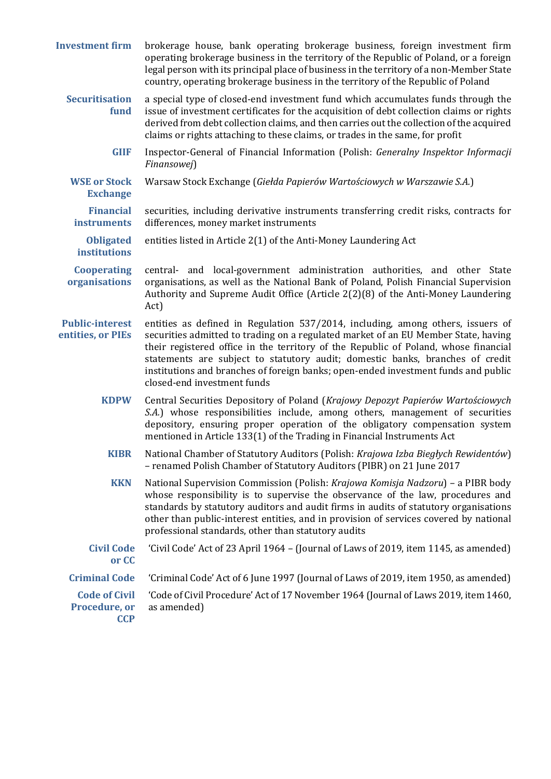| <b>Investment firm</b>                              | brokerage house, bank operating brokerage business, foreign investment firm<br>operating brokerage business in the territory of the Republic of Poland, or a foreign<br>legal person with its principal place of business in the territory of a non-Member State<br>country, operating brokerage business in the territory of the Republic of Poland                                                                                                               |
|-----------------------------------------------------|--------------------------------------------------------------------------------------------------------------------------------------------------------------------------------------------------------------------------------------------------------------------------------------------------------------------------------------------------------------------------------------------------------------------------------------------------------------------|
| <b>Securitisation</b><br>fund                       | a special type of closed-end investment fund which accumulates funds through the<br>issue of investment certificates for the acquisition of debt collection claims or rights<br>derived from debt collection claims, and then carries out the collection of the acquired<br>claims or rights attaching to these claims, or trades in the same, for profit                                                                                                          |
| <b>GIIF</b>                                         | Inspector-General of Financial Information (Polish: Generalny Inspektor Informacji<br>Finansowej)                                                                                                                                                                                                                                                                                                                                                                  |
| <b>WSE or Stock</b><br><b>Exchange</b>              | Warsaw Stock Exchange (Giełda Papierów Wartościowych w Warszawie S.A.)                                                                                                                                                                                                                                                                                                                                                                                             |
| <b>Financial</b><br><b>instruments</b>              | securities, including derivative instruments transferring credit risks, contracts for<br>differences, money market instruments                                                                                                                                                                                                                                                                                                                                     |
| <b>Obligated</b><br><b>institutions</b>             | entities listed in Article 2(1) of the Anti-Money Laundering Act                                                                                                                                                                                                                                                                                                                                                                                                   |
| <b>Cooperating</b><br>organisations                 | central- and local-government administration authorities, and other State<br>organisations, as well as the National Bank of Poland, Polish Financial Supervision<br>Authority and Supreme Audit Office (Article 2(2)(8) of the Anti-Money Laundering<br>Act)                                                                                                                                                                                                       |
| <b>Public-interest</b><br>entities, or PIEs         | entities as defined in Regulation 537/2014, including, among others, issuers of<br>securities admitted to trading on a regulated market of an EU Member State, having<br>their registered office in the territory of the Republic of Poland, whose financial<br>statements are subject to statutory audit; domestic banks, branches of credit<br>institutions and branches of foreign banks; open-ended investment funds and public<br>closed-end investment funds |
| <b>KDPW</b>                                         | Central Securities Depository of Poland (Krajowy Depozyt Papierów Wartościowych<br>S.A.) whose responsibilities include, among others, management of securities<br>depository, ensuring proper operation of the obligatory compensation system<br>mentioned in Article 133(1) of the Trading in Financial Instruments Act                                                                                                                                          |
| <b>KIBR</b>                                         | National Chamber of Statutory Auditors (Polish: Krajowa Izba Biegłych Rewidentów)<br>- renamed Polish Chamber of Statutory Auditors (PIBR) on 21 June 2017                                                                                                                                                                                                                                                                                                         |
| <b>KKN</b>                                          | National Supervision Commission (Polish: Krajowa Komisja Nadzoru) - a PIBR body<br>whose responsibility is to supervise the observance of the law, procedures and<br>standards by statutory auditors and audit firms in audits of statutory organisations<br>other than public-interest entities, and in provision of services covered by national<br>professional standards, other than statutory audits                                                          |
| <b>Civil Code</b><br>or CC                          | 'Civil Code' Act of 23 April 1964 - (Journal of Laws of 2019, item 1145, as amended)                                                                                                                                                                                                                                                                                                                                                                               |
| <b>Criminal Code</b>                                | 'Criminal Code' Act of 6 June 1997 (Journal of Laws of 2019, item 1950, as amended)                                                                                                                                                                                                                                                                                                                                                                                |
| <b>Code of Civil</b><br>Procedure, or<br><b>CCP</b> | 'Code of Civil Procedure' Act of 17 November 1964 (Journal of Laws 2019, item 1460,<br>as amended)                                                                                                                                                                                                                                                                                                                                                                 |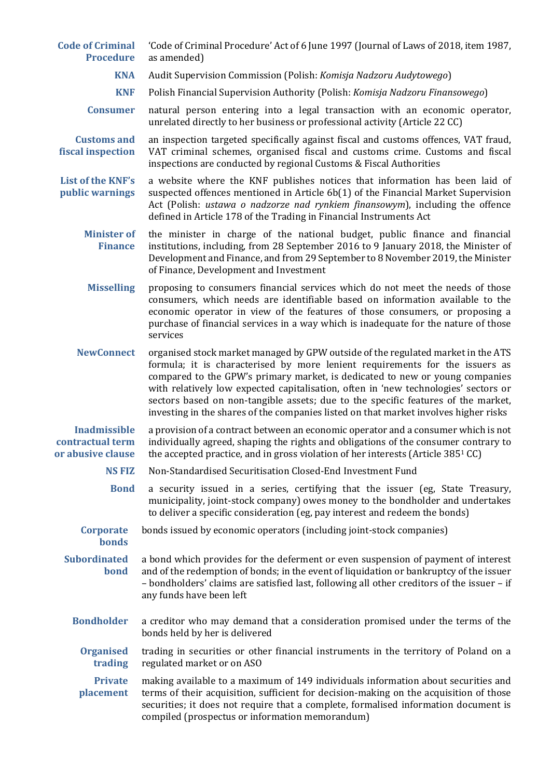| <b>Code of Criminal</b><br><b>Procedure</b>                  | 'Code of Criminal Procedure' Act of 6 June 1997 (Journal of Laws of 2018, item 1987,<br>as amended)                                                                                                                                                                                                                                                                                                                                                                                                                  |
|--------------------------------------------------------------|----------------------------------------------------------------------------------------------------------------------------------------------------------------------------------------------------------------------------------------------------------------------------------------------------------------------------------------------------------------------------------------------------------------------------------------------------------------------------------------------------------------------|
| <b>KNA</b>                                                   | Audit Supervision Commission (Polish: Komisja Nadzoru Audytowego)                                                                                                                                                                                                                                                                                                                                                                                                                                                    |
| <b>KNF</b>                                                   | Polish Financial Supervision Authority (Polish: Komisja Nadzoru Finansowego)                                                                                                                                                                                                                                                                                                                                                                                                                                         |
| <b>Consumer</b>                                              | natural person entering into a legal transaction with an economic operator,<br>unrelated directly to her business or professional activity (Article 22 CC)                                                                                                                                                                                                                                                                                                                                                           |
| <b>Customs and</b><br>fiscal inspection                      | an inspection targeted specifically against fiscal and customs offences, VAT fraud,<br>VAT criminal schemes, organised fiscal and customs crime. Customs and fiscal<br>inspections are conducted by regional Customs & Fiscal Authorities                                                                                                                                                                                                                                                                            |
| <b>List of the KNF's</b><br>public warnings                  | a website where the KNF publishes notices that information has been laid of<br>suspected offences mentioned in Article $6b(1)$ of the Financial Market Supervision<br>Act (Polish: ustawa o nadzorze nad rynkiem finansowym), including the offence<br>defined in Article 178 of the Trading in Financial Instruments Act                                                                                                                                                                                            |
| <b>Minister of</b><br><b>Finance</b>                         | the minister in charge of the national budget, public finance and financial<br>institutions, including, from 28 September 2016 to 9 January 2018, the Minister of<br>Development and Finance, and from 29 September to 8 November 2019, the Minister<br>of Finance, Development and Investment                                                                                                                                                                                                                       |
| <b>Misselling</b>                                            | proposing to consumers financial services which do not meet the needs of those<br>consumers, which needs are identifiable based on information available to the<br>economic operator in view of the features of those consumers, or proposing a<br>purchase of financial services in a way which is inadequate for the nature of those<br>services                                                                                                                                                                   |
| <b>NewConnect</b>                                            | organised stock market managed by GPW outside of the regulated market in the ATS<br>formula; it is characterised by more lenient requirements for the issuers as<br>compared to the GPW's primary market, is dedicated to new or young companies<br>with relatively low expected capitalisation, often in 'new technologies' sectors or<br>sectors based on non-tangible assets; due to the specific features of the market,<br>investing in the shares of the companies listed on that market involves higher risks |
| <b>Inadmissible</b><br>contractual term<br>or abusive clause | a provision of a contract between an economic operator and a consumer which is not<br>individually agreed, shaping the rights and obligations of the consumer contrary to<br>the accepted practice, and in gross violation of her interests (Article 3851 CC)                                                                                                                                                                                                                                                        |
| <b>NS FIZ</b>                                                | Non-Standardised Securitisation Closed-End Investment Fund                                                                                                                                                                                                                                                                                                                                                                                                                                                           |
| <b>Bond</b>                                                  | a security issued in a series, certifying that the issuer (eg, State Treasury,<br>municipality, joint-stock company) owes money to the bondholder and undertakes<br>to deliver a specific consideration (eg, pay interest and redeem the bonds)                                                                                                                                                                                                                                                                      |
| <b>Corporate</b><br><b>bonds</b>                             | bonds issued by economic operators (including joint-stock companies)                                                                                                                                                                                                                                                                                                                                                                                                                                                 |
| <b>Subordinated</b><br>bond                                  | a bond which provides for the deferment or even suspension of payment of interest<br>and of the redemption of bonds; in the event of liquidation or bankruptcy of the issuer<br>- bondholders' claims are satisfied last, following all other creditors of the issuer - if<br>any funds have been left                                                                                                                                                                                                               |
| <b>Bondholder</b>                                            | a creditor who may demand that a consideration promised under the terms of the<br>bonds held by her is delivered                                                                                                                                                                                                                                                                                                                                                                                                     |
| <b>Organised</b><br>trading                                  | trading in securities or other financial instruments in the territory of Poland on a<br>regulated market or on ASO                                                                                                                                                                                                                                                                                                                                                                                                   |
| <b>Private</b><br>placement                                  | making available to a maximum of 149 individuals information about securities and<br>terms of their acquisition, sufficient for decision-making on the acquisition of those<br>securities; it does not require that a complete, formalised information document is<br>compiled (prospectus or information memorandum)                                                                                                                                                                                                |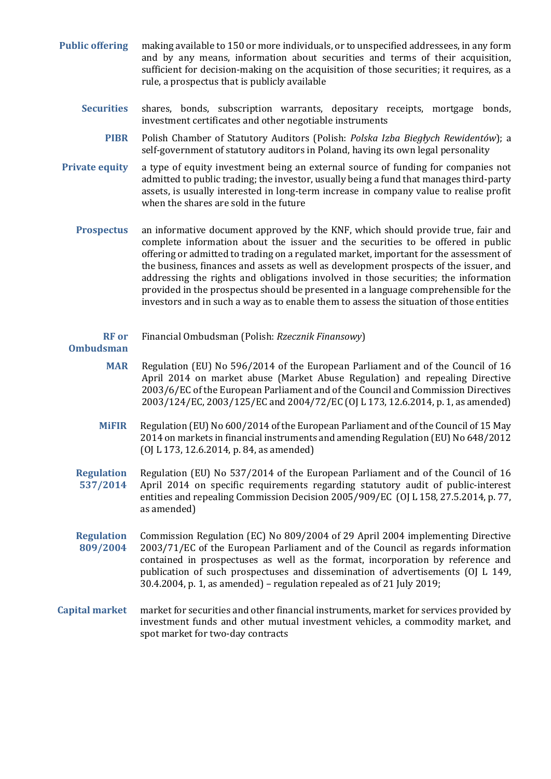- **Public offering** making available to 150 or more individuals, or to unspecified addressees, in any form and by any means, information about securities and terms of their acquisition, sufficient for decision-making on the acquisition of those securities; it requires, as a rule, a prospectus that is publicly available
	- **Securities** shares, bonds, subscription warrants, depositary receipts, mortgage bonds, investment certificates and other negotiable instruments
		- **PIBR** Polish Chamber of Statutory Auditors (Polish: *Polska Izba Biegłych Rewidentów*); a self-government of statutory auditors in Poland, having its own legal personality
- **Private equity** a type of equity investment being an external source of funding for companies not admitted to public trading; the investor, usually being a fund that manages third-party assets, is usually interested in long-term increase in company value to realise profit when the shares are sold in the future
	- **Prospectus** an informative document approved by the KNF, which should provide true, fair and complete information about the issuer and the securities to be offered in public offering or admitted to trading on a regulated market, important for the assessment of the business, finances and assets as well as development prospects of the issuer, and addressing the rights and obligations involved in those securities; the information provided in the prospectus should be presented in a language comprehensible for the investors and in such a way as to enable them to assess the situation of those entities
		- **RF or**  Financial Ombudsman (Polish: *Rzecznik Finansowy*)

#### **Ombudsman**

- **MAR** Regulation (EU) No 596/2014 of the European Parliament and of the Council of 16 April 2014 on market abuse (Market Abuse Regulation) and repealing Directive 2003/6/EC of the European Parliament and of the Council and Commission Directives 2003/124/EC, 2003/125/EC and 2004/72/EC (OJ L 173, 12.6.2014, p. 1, as amended)
- **MiFIR** Regulation (EU) No 600/2014 of the European Parliament and of the Council of 15 May 2014 on markets in financial instruments and amending Regulation (EU) No 648/2012 (OJ L 173, 12.6.2014, p. 84, as amended)
- **Regulation 537/2014** Regulation (EU) No 537/2014 of the European Parliament and of the Council of 16 April 2014 on specific requirements regarding statutory audit of public-interest entities and repealing Commission Decision 2005/909/EC (OJ L 158, 27.5.2014, p. 77, as amended)
- **Regulation 809/2004** Commission Regulation (EC) No 809/2004 of 29 April 2004 implementing Directive 2003/71/EC of the European Parliament and of the Council as regards information contained in prospectuses as well as the format, incorporation by reference and publication of such prospectuses and dissemination of advertisements (OJ L 149, 30.4.2004, p. 1, as amended) – regulation repealed as of 21 July 2019;
- **Capital market** market for securities and other financial instruments, market for services provided by investment funds and other mutual investment vehicles, a commodity market, and spot market for two-day contracts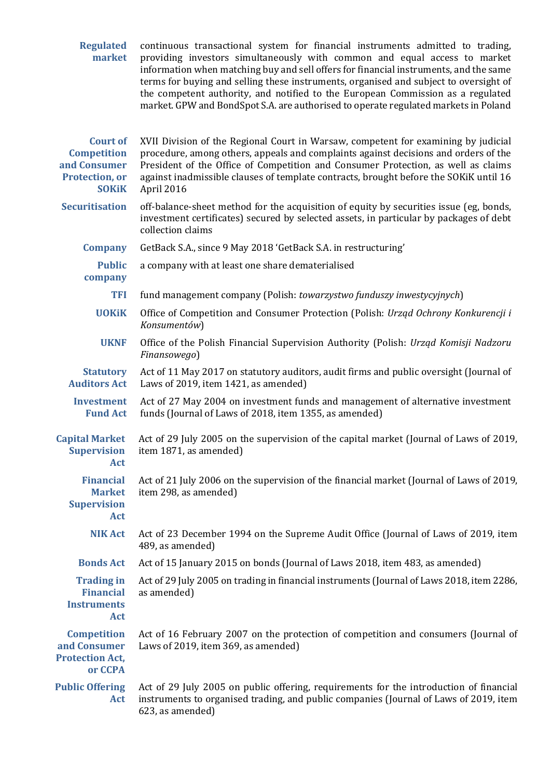| <b>Regulated</b><br>market                                                              | continuous transactional system for financial instruments admitted to trading,<br>providing investors simultaneously with common and equal access to market<br>information when matching buy and sell offers for financial instruments, and the same<br>terms for buying and selling these instruments, organised and subject to oversight of<br>the competent authority, and notified to the European Commission as a regulated<br>market. GPW and BondSpot S.A. are authorised to operate regulated markets in Poland |
|-----------------------------------------------------------------------------------------|-------------------------------------------------------------------------------------------------------------------------------------------------------------------------------------------------------------------------------------------------------------------------------------------------------------------------------------------------------------------------------------------------------------------------------------------------------------------------------------------------------------------------|
| <b>Court of</b><br><b>Competition</b><br>and Consumer<br>Protection, or<br><b>SOKiK</b> | XVII Division of the Regional Court in Warsaw, competent for examining by judicial<br>procedure, among others, appeals and complaints against decisions and orders of the<br>President of the Office of Competition and Consumer Protection, as well as claims<br>against inadmissible clauses of template contracts, brought before the SOKiK until 16<br>April 2016                                                                                                                                                   |
| <b>Securitisation</b>                                                                   | off-balance-sheet method for the acquisition of equity by securities issue (eg, bonds,<br>investment certificates) secured by selected assets, in particular by packages of debt<br>collection claims                                                                                                                                                                                                                                                                                                                   |
| <b>Company</b>                                                                          | GetBack S.A., since 9 May 2018 'GetBack S.A. in restructuring'                                                                                                                                                                                                                                                                                                                                                                                                                                                          |
| <b>Public</b><br>company                                                                | a company with at least one share dematerialised                                                                                                                                                                                                                                                                                                                                                                                                                                                                        |
| <b>TFI</b>                                                                              | fund management company (Polish: towarzystwo funduszy inwestycyjnych)                                                                                                                                                                                                                                                                                                                                                                                                                                                   |
| <b>UOKiK</b>                                                                            | Office of Competition and Consumer Protection (Polish: Urząd Ochrony Konkurencji i<br>Konsumentów)                                                                                                                                                                                                                                                                                                                                                                                                                      |
| <b>UKNF</b>                                                                             | Office of the Polish Financial Supervision Authority (Polish: Urząd Komisji Nadzoru<br>Finansowego)                                                                                                                                                                                                                                                                                                                                                                                                                     |
| <b>Statutory</b><br><b>Auditors Act</b>                                                 | Act of 11 May 2017 on statutory auditors, audit firms and public oversight (Journal of<br>Laws of 2019, item 1421, as amended)                                                                                                                                                                                                                                                                                                                                                                                          |
| <b>Investment</b><br><b>Fund Act</b>                                                    | Act of 27 May 2004 on investment funds and management of alternative investment<br>funds (Journal of Laws of 2018, item 1355, as amended)                                                                                                                                                                                                                                                                                                                                                                               |
| <b>Capital Market</b><br><b>Supervision</b><br><b>Act</b>                               | Act of 29 July 2005 on the supervision of the capital market (Journal of Laws of 2019,<br>item 1871, as amended)                                                                                                                                                                                                                                                                                                                                                                                                        |
| <b>Financial</b><br><b>Market</b><br><b>Supervision</b><br>Act                          | Act of 21 July 2006 on the supervision of the financial market (Journal of Laws of 2019,<br>item 298, as amended)                                                                                                                                                                                                                                                                                                                                                                                                       |
| <b>NIK Act</b>                                                                          | Act of 23 December 1994 on the Supreme Audit Office (Journal of Laws of 2019, item<br>489, as amended)                                                                                                                                                                                                                                                                                                                                                                                                                  |
| <b>Bonds Act</b>                                                                        | Act of 15 January 2015 on bonds (Journal of Laws 2018, item 483, as amended)                                                                                                                                                                                                                                                                                                                                                                                                                                            |
| <b>Trading in</b><br><b>Financial</b><br><b>Instruments</b><br>Act                      | Act of 29 July 2005 on trading in financial instruments (Journal of Laws 2018, item 2286,<br>as amended)                                                                                                                                                                                                                                                                                                                                                                                                                |
| <b>Competition</b><br>and Consumer<br><b>Protection Act,</b><br>or CCPA                 | Act of 16 February 2007 on the protection of competition and consumers (Journal of<br>Laws of 2019, item 369, as amended)                                                                                                                                                                                                                                                                                                                                                                                               |
| <b>Public Offering</b><br>Act                                                           | Act of 29 July 2005 on public offering, requirements for the introduction of financial<br>instruments to organised trading, and public companies (Journal of Laws of 2019, item<br>623, as amended)                                                                                                                                                                                                                                                                                                                     |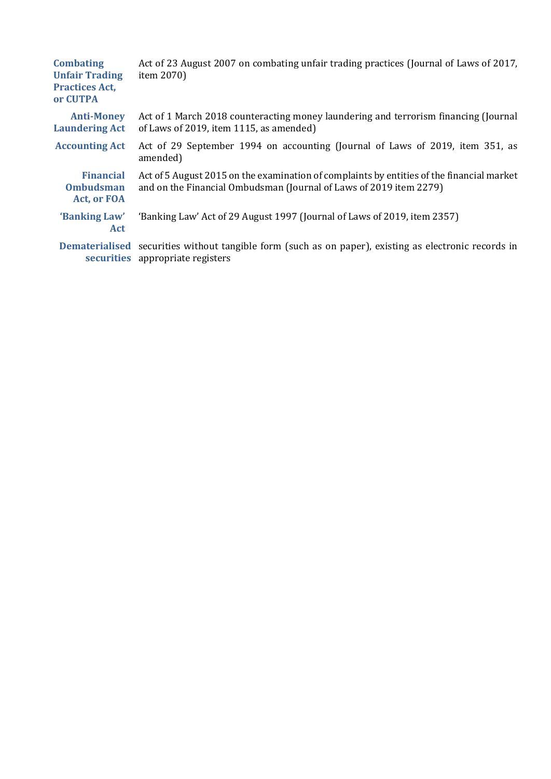| <b>Combating</b><br><b>Unfair Trading</b><br><b>Practices Act,</b><br>or CUTPA | Act of 23 August 2007 on combating unfair trading practices (Journal of Laws of 2017,<br>item 2070)                                                             |
|--------------------------------------------------------------------------------|-----------------------------------------------------------------------------------------------------------------------------------------------------------------|
| <b>Anti-Money</b><br><b>Laundering Act</b>                                     | Act of 1 March 2018 counteracting money laundering and terrorism financing (Journal<br>of Laws of 2019, item 1115, as amended)                                  |
| <b>Accounting Act</b>                                                          | Act of 29 September 1994 on accounting (Journal of Laws of 2019, item 351, as<br>amended)                                                                       |
| <b>Financial</b><br><b>Ombudsman</b><br><b>Act, or FOA</b>                     | Act of 5 August 2015 on the examination of complaints by entities of the financial market<br>and on the Financial Ombudsman (Journal of Laws of 2019 item 2279) |
| 'Banking Law'<br><b>Act</b>                                                    | 'Banking Law' Act of 29 August 1997 (Journal of Laws of 2019, item 2357)                                                                                        |
|                                                                                | Dematerialised securities without tangible form (such as on paper), existing as electronic records in<br>securities appropriate registers                       |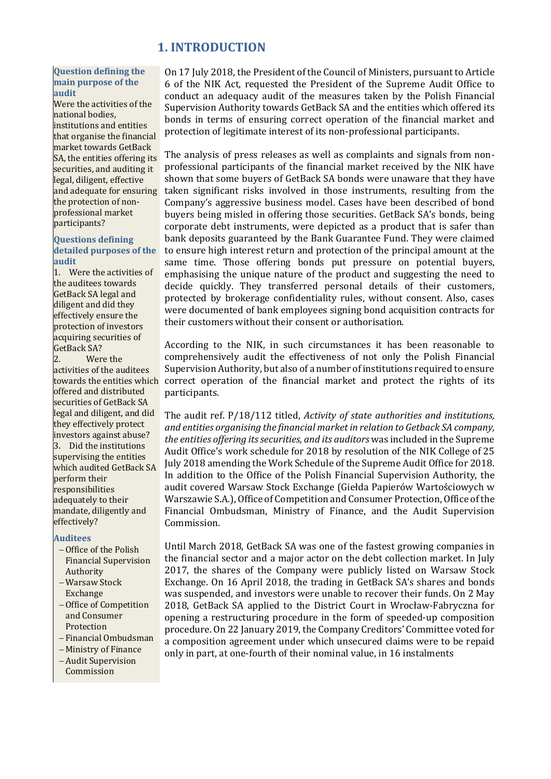## **1. INTRODUCTION**

#### <span id="page-9-0"></span>**Question defining the main purpose of the audit**

Were the activities of the national bodies, institutions and entities that organise the financial market towards GetBack SA, the entities offering its securities, and auditing it legal, diligent, effective and adequate for ensuring the protection of nonprofessional market participants?

#### **Questions defining detailed purposes of the audit**

1. Were the activities of the auditees towards GetBack SA legal and diligent and did they effectively ensure the protection of investors acquiring securities of GetBack SA?

Were the activities of the auditees towards the entities which offered and distributed securities of GetBack SA legal and diligent, and did they effectively protect investors against abuse? 3. Did the institutions supervising the entities which audited GetBack SA perform their responsibilities adequately to their mandate, diligently and effectively?

#### **Auditees**

- −Office of the Polish Financial Supervision Authority
- − Warsaw Stock Exchange
- −Office of Competition and Consumer Protection
- − Financial Ombudsman
- − Ministry of Finance
- − Audit Supervision Commission

On 17 July 2018, the President of the Council of Ministers, pursuant to Article 6 of the NIK Act, requested the President of the Supreme Audit Office to conduct an adequacy audit of the measures taken by the Polish Financial Supervision Authority towards GetBack SA and the entities which offered its bonds in terms of ensuring correct operation of the financial market and protection of legitimate interest of its non-professional participants.

The analysis of press releases as well as complaints and signals from nonprofessional participants of the financial market received by the NIK have shown that some buyers of GetBack SA bonds were unaware that they have taken significant risks involved in those instruments, resulting from the Company's aggressive business model. Cases have been described of bond buyers being misled in offering those securities. GetBack SA's bonds, being corporate debt instruments, were depicted as a product that is safer than bank deposits guaranteed by the Bank Guarantee Fund. They were claimed to ensure high interest return and protection of the principal amount at the same time. Those offering bonds put pressure on potential buyers, emphasising the unique nature of the product and suggesting the need to decide quickly. They transferred personal details of their customers, protected by brokerage confidentiality rules, without consent. Also, cases were documented of bank employees signing bond acquisition contracts for their customers without their consent or authorisation.

According to the NIK, in such circumstances it has been reasonable to comprehensively audit the effectiveness of not only the Polish Financial Supervision Authority, but also of a number of institutions required to ensure correct operation of the financial market and protect the rights of its participants.

The audit ref. P/18/112 titled, *Activity of state authorities and institutions, and entities organising the financial market in relation to Getback SA company, the entities offering its securities, and its auditors* was included in the Supreme Audit Office's work schedule for 2018 by resolution of the NIK College of 25 July 2018 amending the Work Schedule of the Supreme Audit Office for 2018. In addition to the Office of the Polish Financial Supervision Authority, the audit covered Warsaw Stock Exchange (Giełda Papierów Wartościowych w Warszawie S.A.), Office of Competition and Consumer Protection, Office of the Financial Ombudsman, Ministry of Finance, and the Audit Supervision Commission.

Until March 2018, GetBack SA was one of the fastest growing companies in the financial sector and a major actor on the debt collection market. In July 2017, the shares of the Company were publicly listed on Warsaw Stock Exchange. On 16 April 2018, the trading in GetBack SA's shares and bonds was suspended, and investors were unable to recover their funds. On 2 May 2018, GetBack SA applied to the District Court in Wrocław-Fabryczna for opening a restructuring procedure in the form of speeded-up composition procedure. On 22 January 2019, the Company Creditors' Committee voted for a composition agreement under which unsecured claims were to be repaid only in part, at one-fourth of their nominal value, in 16 instalments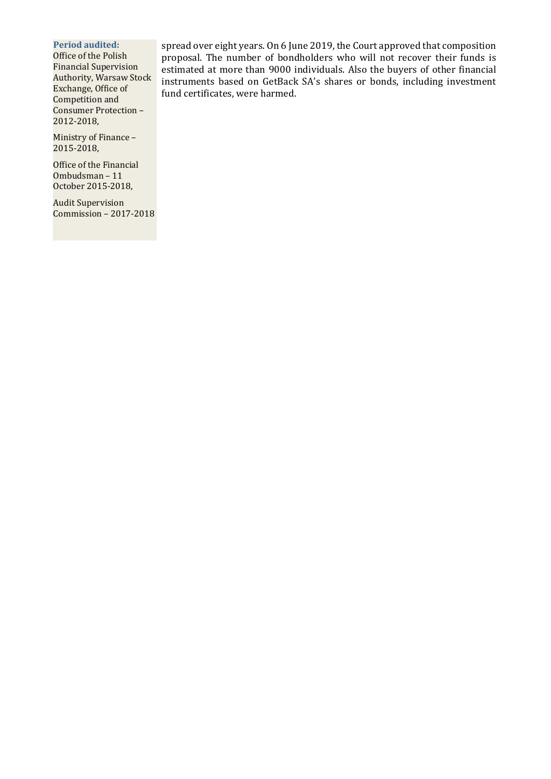**Period audited:**

Office of the Polish Financial Supervision Authority, Warsaw Stock Exchange, Office of Competition and Consumer Protection – 2012-2018,

Ministry of Finance – 2015-2018,

Office of the Financial Ombudsman – 11 October 2015-2018,

Audit Supervision Commission – 2017-2018 spread over eight years. On 6 June 2019, the Court approved that composition proposal. The number of bondholders who will not recover their funds is estimated at more than 9000 individuals. Also the buyers of other financial instruments based on GetBack SA's shares or bonds, including investment fund certificates, were harmed.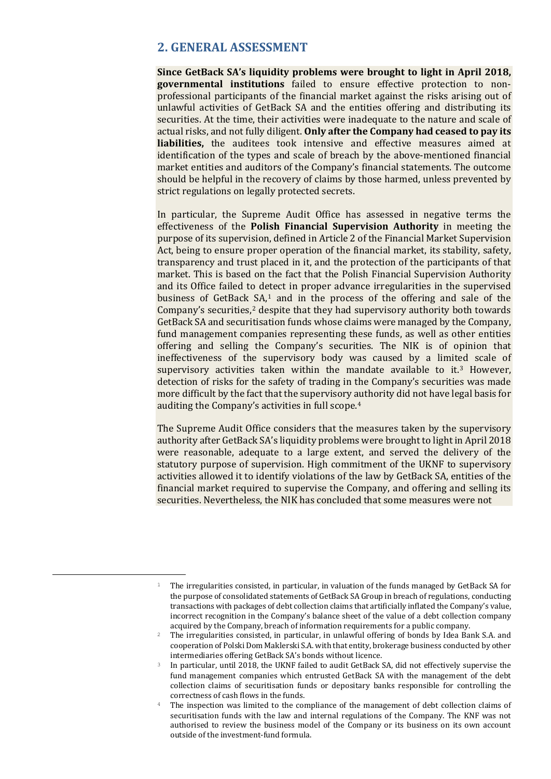## <span id="page-11-0"></span>**2. GENERAL ASSESSMENT**

**Since GetBack SA's liquidity problems were brought to light in April 2018, governmental institutions** failed to ensure effective protection to nonprofessional participants of the financial market against the risks arising out of unlawful activities of GetBack SA and the entities offering and distributing its securities. At the time, their activities were inadequate to the nature and scale of actual risks, and not fully diligent. **Only after the Company had ceased to pay its liabilities,** the auditees took intensive and effective measures aimed at identification of the types and scale of breach by the above-mentioned financial market entities and auditors of the Company's financial statements. The outcome should be helpful in the recovery of claims by those harmed, unless prevented by strict regulations on legally protected secrets.

In particular, the Supreme Audit Office has assessed in negative terms the effectiveness of the **Polish Financial Supervision Authority** in meeting the purpose of its supervision, defined in Article 2 of the Financial Market Supervision Act, being to ensure proper operation of the financial market, its stability, safety, transparency and trust placed in it, and the protection of the participants of that market. This is based on the fact that the Polish Financial Supervision Authority and its Office failed to detect in proper advance irregularities in the supervised business of GetBack SA,[1](#page-11-1) and in the process of the offering and sale of the Company's securities, $2$  despite that they had supervisory authority both towards GetBack SA and securitisation funds whose claims were managed by the Company, fund management companies representing these funds, as well as other entities offering and selling the Company's securities. The NIK is of opinion that ineffectiveness of the supervisory body was caused by a limited scale of supervisory activities taken within the mandate available to it.<sup>[3](#page-11-3)</sup> However, detection of risks for the safety of trading in the Company's securities was made more difficult by the fact that the supervisory authority did not have legal basis for auditing the Company's activities in full scope.[4](#page-11-4)

The Supreme Audit Office considers that the measures taken by the supervisory authority after GetBack SA's liquidity problems were brought to light in April 2018 were reasonable, adequate to a large extent, and served the delivery of the statutory purpose of supervision. High commitment of the UKNF to supervisory activities allowed it to identify violations of the law by GetBack SA, entities of the financial market required to supervise the Company, and offering and selling its securities. Nevertheless, the NIK has concluded that some measures were not

<span id="page-11-1"></span><sup>&</sup>lt;sup>1</sup> The irregularities consisted, in particular, in valuation of the funds managed by GetBack SA for the purpose of consolidated statements of GetBack SA Group in breach of regulations, conducting transactions with packages of debt collection claims that artificially inflated the Company's value, incorrect recognition in the Company's balance sheet of the value of a debt collection company acquired by the Company, breach of information requirements for a public company.

<span id="page-11-2"></span><sup>&</sup>lt;sup>2</sup> The irregularities consisted, in particular, in unlawful offering of bonds by Idea Bank S.A. and cooperation of Polski Dom Maklerski S.A. with that entity, brokerage business conducted by other intermediaries offering GetBack SA's bonds without licence.

<span id="page-11-3"></span><sup>&</sup>lt;sup>3</sup> In particular, until 2018, the UKNF failed to audit GetBack SA, did not effectively supervise the fund management companies which entrusted GetBack SA with the management of the debt collection claims of securitisation funds or depositary banks responsible for controlling the correctness of cash flows in the funds.

<span id="page-11-4"></span><sup>&</sup>lt;sup>4</sup> The inspection was limited to the compliance of the management of debt collection claims of securitisation funds with the law and internal regulations of the Company. The KNF was not authorised to review the business model of the Company or its business on its own account outside of the investment-fund formula.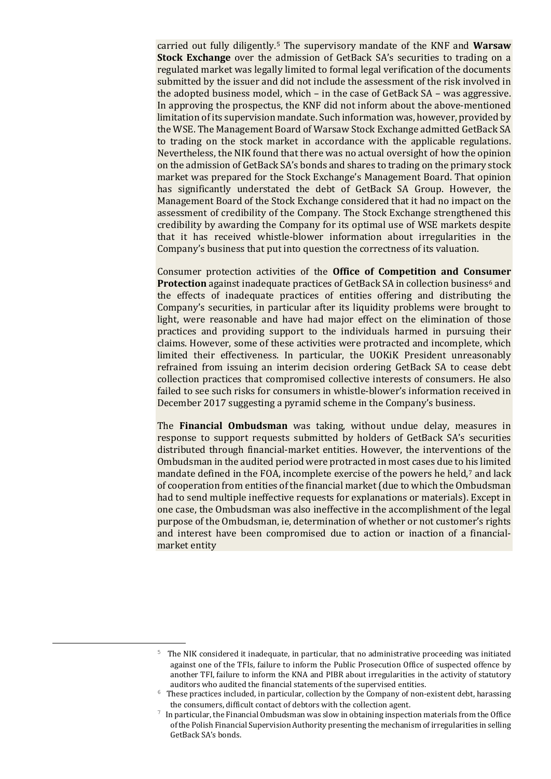carried out fully diligently.[5](#page-12-0) The supervisory mandate of the KNF and **Warsaw Stock Exchange** over the admission of GetBack SA's securities to trading on a regulated market was legally limited to formal legal verification of the documents submitted by the issuer and did not include the assessment of the risk involved in the adopted business model, which – in the case of GetBack SA – was aggressive. In approving the prospectus, the KNF did not inform about the above-mentioned limitation of its supervision mandate. Such information was, however, provided by the WSE. The Management Board of Warsaw Stock Exchange admitted GetBack SA to trading on the stock market in accordance with the applicable regulations. Nevertheless, the NIK found that there was no actual oversight of how the opinion on the admission of GetBack SA's bonds and shares to trading on the primary stock market was prepared for the Stock Exchange's Management Board. That opinion has significantly understated the debt of GetBack SA Group. However, the Management Board of the Stock Exchange considered that it had no impact on the assessment of credibility of the Company. The Stock Exchange strengthened this credibility by awarding the Company for its optimal use of WSE markets despite that it has received whistle-blower information about irregularities in the Company's business that put into question the correctness of its valuation.

Consumer protection activities of the **Office of Competition and Consumer Protection** against inadequate practices of GetBack SA in collection business<sup>[6](#page-12-1)</sup> and the effects of inadequate practices of entities offering and distributing the Company's securities, in particular after its liquidity problems were brought to light, were reasonable and have had major effect on the elimination of those practices and providing support to the individuals harmed in pursuing their claims. However, some of these activities were protracted and incomplete, which limited their effectiveness. In particular, the UOKiK President unreasonably refrained from issuing an interim decision ordering GetBack SA to cease debt collection practices that compromised collective interests of consumers. He also failed to see such risks for consumers in whistle-blower's information received in December 2017 suggesting a pyramid scheme in the Company's business.

The **Financial Ombudsman** was taking, without undue delay, measures in response to support requests submitted by holders of GetBack SA's securities distributed through financial-market entities. However, the interventions of the Ombudsman in the audited period were protracted in most cases due to his limited mandate defined in the FOA, incomplete exercise of the powers he held,<sup>[7](#page-12-2)</sup> and lack of cooperation from entities of the financial market (due to which the Ombudsman had to send multiple ineffective requests for explanations or materials). Except in one case, the Ombudsman was also ineffective in the accomplishment of the legal purpose of the Ombudsman, ie, determination of whether or not customer's rights and interest have been compromised due to action or inaction of a financialmarket entity

<span id="page-12-0"></span> <sup>5</sup> The NIK considered it inadequate, in particular, that no administrative proceeding was initiated against one of the TFIs, failure to inform the Public Prosecution Office of suspected offence by another TFI, failure to inform the KNA and PIBR about irregularities in the activity of statutory

<span id="page-12-1"></span> $6$  These practices included, in particular, collection by the Company of non-existent debt, harassing the consumers, difficult contact of debtors with the collection agent.

<span id="page-12-2"></span> $\frac{1}{\sqrt{2}}$  In particular, the Financial Ombudsman was slow in obtaining inspection materials from the Office of the Polish Financial Supervision Authority presenting the mechanism of irregularities in selling GetBack SA's bonds.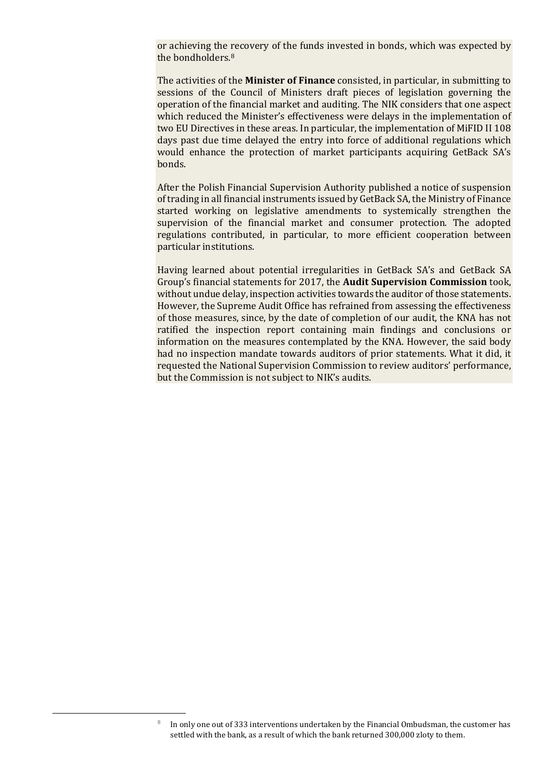or achieving the recovery of the funds invested in bonds, which was expected by the bondholders.[8](#page-13-0)

The activities of the **Minister of Finance** consisted, in particular, in submitting to sessions of the Council of Ministers draft pieces of legislation governing the operation of the financial market and auditing. The NIK considers that one aspect which reduced the Minister's effectiveness were delays in the implementation of two EU Directives in these areas. In particular, the implementation of MiFID II 108 days past due time delayed the entry into force of additional regulations which would enhance the protection of market participants acquiring GetBack SA's bonds.

After the Polish Financial Supervision Authority published a notice of suspension of trading in all financial instruments issued by GetBack SA, the Ministry of Finance started working on legislative amendments to systemically strengthen the supervision of the financial market and consumer protection. The adopted regulations contributed, in particular, to more efficient cooperation between particular institutions.

Having learned about potential irregularities in GetBack SA's and GetBack SA Group's financial statements for 2017, the **Audit Supervision Commission** took, without undue delay, inspection activities towards the auditor of those statements. However, the Supreme Audit Office has refrained from assessing the effectiveness of those measures, since, by the date of completion of our audit, the KNA has not ratified the inspection report containing main findings and conclusions or information on the measures contemplated by the KNA. However, the said body had no inspection mandate towards auditors of prior statements. What it did, it requested the National Supervision Commission to review auditors' performance, but the Commission is not subject to NIK's audits.

<span id="page-13-0"></span><sup>&</sup>lt;sup>8</sup> In only one out of 333 interventions undertaken by the Financial Ombudsman, the customer has settled with the bank, as a result of which the bank returned 300,000 zloty to them.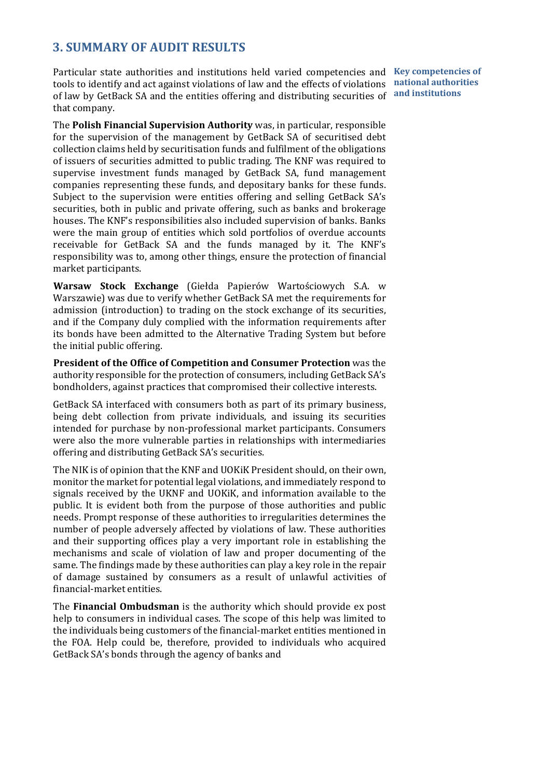## <span id="page-14-0"></span>**3. SUMMARY OF AUDIT RESULTS**

Particular state authorities and institutions held varied competencies and Key competencies of tools to identify and act against violations of law and the effects of violations of law by GetBack SA and the entities offering and distributing securities of **and institutions**that company.

**national authorities** 

The **Polish Financial Supervision Authority** was, in particular, responsible for the supervision of the management by GetBack SA of securitised debt collection claims held by securitisation funds and fulfilment of the obligations of issuers of securities admitted to public trading. The KNF was required to supervise investment funds managed by GetBack SA, fund management companies representing these funds, and depositary banks for these funds. Subject to the supervision were entities offering and selling GetBack SA's securities, both in public and private offering, such as banks and brokerage houses. The KNF's responsibilities also included supervision of banks. Banks were the main group of entities which sold portfolios of overdue accounts receivable for GetBack SA and the funds managed by it. The KNF's responsibility was to, among other things, ensure the protection of financial market participants.

**Warsaw Stock Exchange** (Giełda Papierów Wartościowych S.A. w Warszawie) was due to verify whether GetBack SA met the requirements for admission (introduction) to trading on the stock exchange of its securities, and if the Company duly complied with the information requirements after its bonds have been admitted to the Alternative Trading System but before the initial public offering.

**President of the Office of Competition and Consumer Protection** was the authority responsible for the protection of consumers, including GetBack SA's bondholders, against practices that compromised their collective interests.

GetBack SA interfaced with consumers both as part of its primary business, being debt collection from private individuals, and issuing its securities intended for purchase by non-professional market participants. Consumers were also the more vulnerable parties in relationships with intermediaries offering and distributing GetBack SA's securities.

The NIK is of opinion that the KNF and UOKiK President should, on their own, monitor the market for potential legal violations, and immediately respond to signals received by the UKNF and UOKiK, and information available to the public. It is evident both from the purpose of those authorities and public needs. Prompt response of these authorities to irregularities determines the number of people adversely affected by violations of law. These authorities and their supporting offices play a very important role in establishing the mechanisms and scale of violation of law and proper documenting of the same. The findings made by these authorities can play a key role in the repair of damage sustained by consumers as a result of unlawful activities of financial-market entities.

The **Financial Ombudsman** is the authority which should provide ex post help to consumers in individual cases. The scope of this help was limited to the individuals being customers of the financial-market entities mentioned in the FOA. Help could be, therefore, provided to individuals who acquired GetBack SA's bonds through the agency of banks and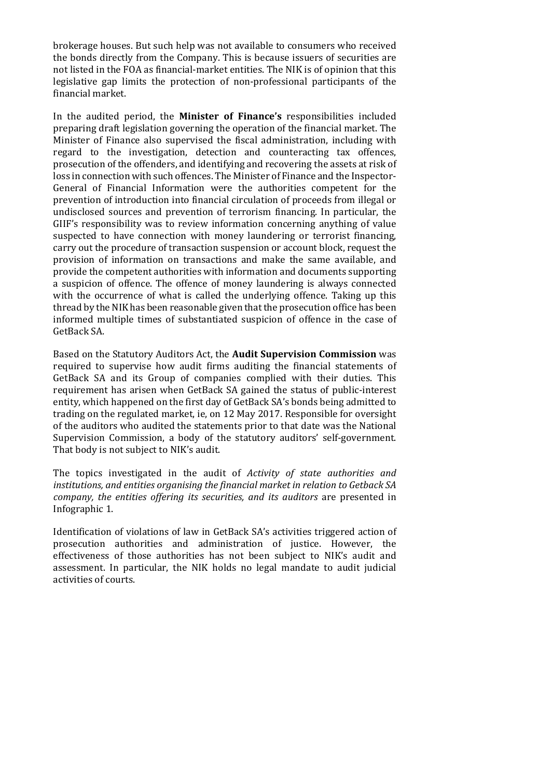brokerage houses. But such help was not available to consumers who received the bonds directly from the Company. This is because issuers of securities are not listed in the FOA as financial-market entities. The NIK is of opinion that this legislative gap limits the protection of non-professional participants of the financial market.

In the audited period, the **Minister of Finance's** responsibilities included preparing draft legislation governing the operation of the financial market. The Minister of Finance also supervised the fiscal administration, including with regard to the investigation, detection and counteracting tax offences, prosecution of the offenders, and identifying and recovering the assets at risk of loss in connection with such offences. The Minister of Finance and the Inspector-General of Financial Information were the authorities competent for the prevention of introduction into financial circulation of proceeds from illegal or undisclosed sources and prevention of terrorism financing. In particular, the GIIF's responsibility was to review information concerning anything of value suspected to have connection with money laundering or terrorist financing, carry out the procedure of transaction suspension or account block, request the provision of information on transactions and make the same available, and provide the competent authorities with information and documents supporting a suspicion of offence. The offence of money laundering is always connected with the occurrence of what is called the underlying offence. Taking up this thread by the NIK has been reasonable given that the prosecution office has been informed multiple times of substantiated suspicion of offence in the case of GetBack SA.

Based on the Statutory Auditors Act, the **Audit Supervision Commission** was required to supervise how audit firms auditing the financial statements of GetBack SA and its Group of companies complied with their duties. This requirement has arisen when GetBack SA gained the status of public-interest entity, which happened on the first day of GetBack SA's bonds being admitted to trading on the regulated market, ie, on 12 May 2017. Responsible for oversight of the auditors who audited the statements prior to that date was the National Supervision Commission, a body of the statutory auditors' self-government. That body is not subject to NIK's audit.

The topics investigated in the audit of *Activity of state authorities and institutions, and entities organising the financial market in relation to Getback SA company, the entities offering its securities, and its auditors* are presented in Infographic 1.

Identification of violations of law in GetBack SA's activities triggered action of prosecution authorities and administration of justice. However, the effectiveness of those authorities has not been subject to NIK's audit and assessment. In particular, the NIK holds no legal mandate to audit judicial activities of courts.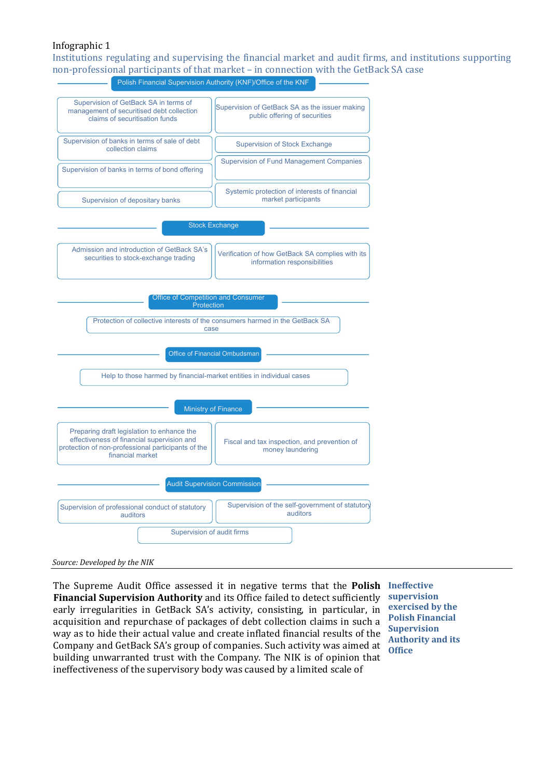### Infographic 1

Institutions regulating and supervising the financial market and audit firms, and institutions supporting non-professional participants of that market – in connection with the GetBack SA case



*Source: Developed by the NIK*

The Supreme Audit Office assessed it in negative terms that the **Polish Ineffective Financial Supervision Authority** and its Office failed to detect sufficiently early irregularities in GetBack SA's activity, consisting, in particular, in acquisition and repurchase of packages of debt collection claims in such a way as to hide their actual value and create inflated financial results of the Company and GetBack SA's group of companies. Such activity was aimed at building unwarranted trust with the Company. The NIK is of opinion that ineffectiveness of the supervisory body was caused by a limited scale of

**supervision exercised by the Polish Financial Supervision Authority and its Office**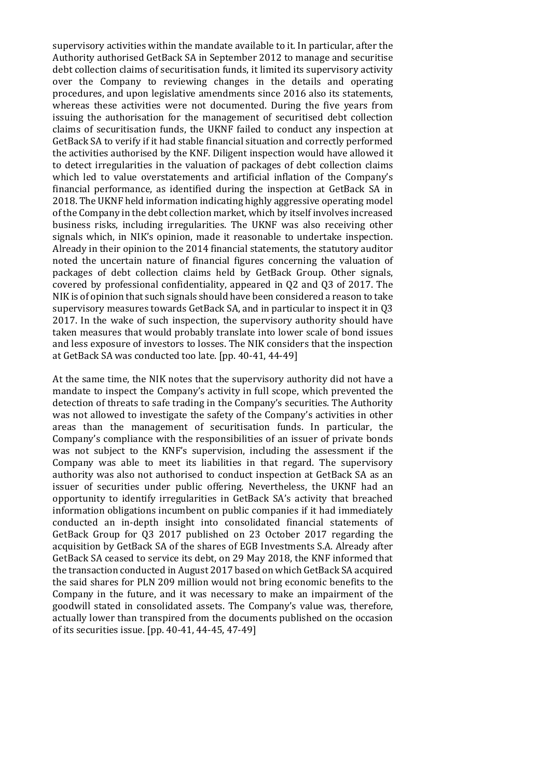supervisory activities within the mandate available to it. In particular, after the Authority authorised GetBack SA in September 2012 to manage and securitise debt collection claims of securitisation funds, it limited its supervisory activity over the Company to reviewing changes in the details and operating procedures, and upon legislative amendments since 2016 also its statements, whereas these activities were not documented. During the five years from issuing the authorisation for the management of securitised debt collection claims of securitisation funds, the UKNF failed to conduct any inspection at GetBack SA to verify if it had stable financial situation and correctly performed the activities authorised by the KNF. Diligent inspection would have allowed it to detect irregularities in the valuation of packages of debt collection claims which led to value overstatements and artificial inflation of the Company's financial performance, as identified during the inspection at GetBack SA in 2018. The UKNF held information indicating highly aggressive operating model of the Company in the debt collection market, which by itself involves increased business risks, including irregularities. The UKNF was also receiving other signals which, in NIK's opinion, made it reasonable to undertake inspection. Already in their opinion to the 2014 financial statements, the statutory auditor noted the uncertain nature of financial figures concerning the valuation of packages of debt collection claims held by GetBack Group. Other signals, covered by professional confidentiality, appeared in Q2 and Q3 of 2017. The NIK is of opinion that such signals should have been considered a reason to take supervisory measures towards GetBack SA, and in particular to inspect it in Q3 2017. In the wake of such inspection, the supervisory authority should have taken measures that would probably translate into lower scale of bond issues and less exposure of investors to losses. The NIK considers that the inspection at GetBack SA was conducted too late. [pp. 40-41, 44-49]

At the same time, the NIK notes that the supervisory authority did not have a mandate to inspect the Company's activity in full scope, which prevented the detection of threats to safe trading in the Company's securities. The Authority was not allowed to investigate the safety of the Company's activities in other areas than the management of securitisation funds. In particular, the Company's compliance with the responsibilities of an issuer of private bonds was not subject to the KNF's supervision, including the assessment if the Company was able to meet its liabilities in that regard. The supervisory authority was also not authorised to conduct inspection at GetBack SA as an issuer of securities under public offering. Nevertheless, the UKNF had an opportunity to identify irregularities in GetBack SA's activity that breached information obligations incumbent on public companies if it had immediately conducted an in-depth insight into consolidated financial statements of GetBack Group for Q3 2017 published on 23 October 2017 regarding the acquisition by GetBack SA of the shares of EGB Investments S.A. Already after GetBack SA ceased to service its debt, on 29 May 2018, the KNF informed that the transaction conducted in August 2017 based on which GetBack SA acquired the said shares for PLN 209 million would not bring economic benefits to the Company in the future, and it was necessary to make an impairment of the goodwill stated in consolidated assets. The Company's value was, therefore, actually lower than transpired from the documents published on the occasion of its securities issue. [pp. 40-41, 44-45, 47-49]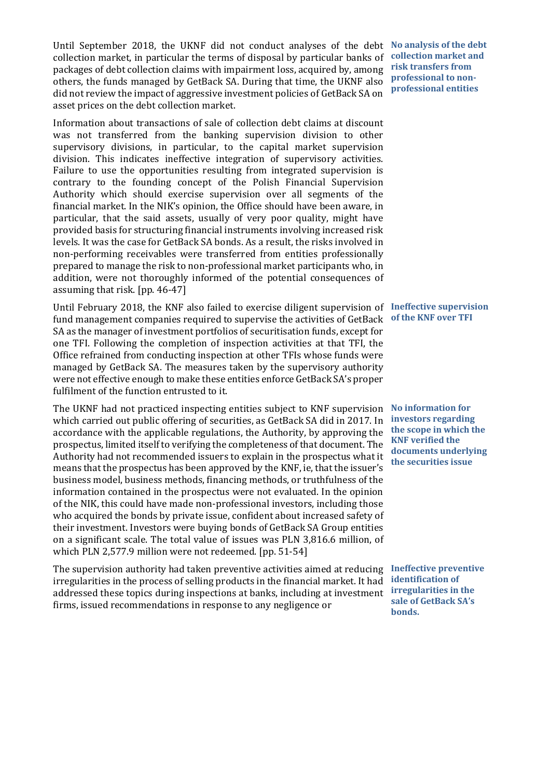Until September 2018, the UKNF did not conduct analyses of the debt **No analysis of the debt**  collection market, in particular the terms of disposal by particular banks of packages of debt collection claims with impairment loss, acquired by, among others, the funds managed by GetBack SA. During that time, the UKNF also did not review the impact of aggressive investment policies of GetBack SA on asset prices on the debt collection market.

Information about transactions of sale of collection debt claims at discount was not transferred from the banking supervision division to other supervisory divisions, in particular, to the capital market supervision division. This indicates ineffective integration of supervisory activities. Failure to use the opportunities resulting from integrated supervision is contrary to the founding concept of the Polish Financial Supervision Authority which should exercise supervision over all segments of the financial market. In the NIK's opinion, the Office should have been aware, in particular, that the said assets, usually of very poor quality, might have provided basis for structuring financial instruments involving increased risk levels. It was the case for GetBack SA bonds. As a result, the risks involved in non-performing receivables were transferred from entities professionally prepared to manage the risk to non-professional market participants who, in addition, were not thoroughly informed of the potential consequences of assuming that risk. [pp. 46-47]

Until February 2018, the KNF also failed to exercise diligent supervision of **Ineffective supervision**  fund management companies required to supervise the activities of GetBack **of the KNF over TFI** SA as the manager of investment portfolios of securitisation funds, except for one TFI. Following the completion of inspection activities at that TFI, the Office refrained from conducting inspection at other TFIs whose funds were managed by GetBack SA. The measures taken by the supervisory authority were not effective enough to make these entities enforce GetBack SA's proper fulfilment of the function entrusted to it.

The UKNF had not practiced inspecting entities subject to KNF supervision **No information for**  which carried out public offering of securities, as GetBack SA did in 2017. In accordance with the applicable regulations, the Authority, by approving the prospectus, limited itself to verifying the completeness of that document. The Authority had not recommended issuers to explain in the prospectus what it means that the prospectus has been approved by the KNF, ie, that the issuer's business model, business methods, financing methods, or truthfulness of the information contained in the prospectus were not evaluated. In the opinion of the NIK, this could have made non-professional investors, including those who acquired the bonds by private issue, confident about increased safety of their investment. Investors were buying bonds of GetBack SA Group entities on a significant scale. The total value of issues was PLN 3,816.6 million, of which PLN 2,577.9 million were not redeemed. [pp. 51-54]

The supervision authority had taken preventive activities aimed at reducing **Ineffective preventive**  irregularities in the process of selling products in the financial market. It had **identification of**  addressed these topics during inspections at banks, including at investment firms, issued recommendations in response to any negligence or

**collection market and risk transfers from professional to nonprofessional entities**

**investors regarding the scope in which the KNF verified the documents underlying the securities issue**

**irregularities in the sale of GetBack SA's bonds.**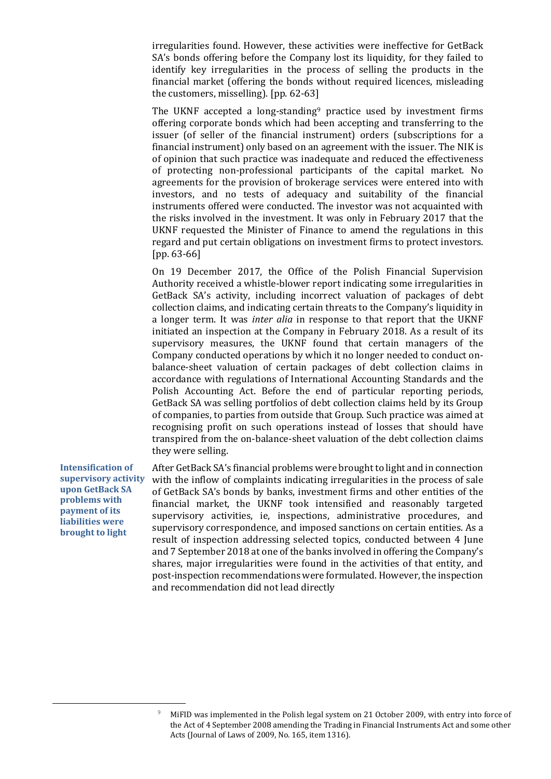irregularities found. However, these activities were ineffective for GetBack SA's bonds offering before the Company lost its liquidity, for they failed to identify key irregularities in the process of selling the products in the financial market (offering the bonds without required licences, misleading the customers, misselling). [pp. 62-63]

The UKNF accepted a long-standing<sup>[9](#page-19-0)</sup> practice used by investment firms offering corporate bonds which had been accepting and transferring to the issuer (of seller of the financial instrument) orders (subscriptions for a financial instrument) only based on an agreement with the issuer. The NIK is of opinion that such practice was inadequate and reduced the effectiveness of protecting non-professional participants of the capital market. No agreements for the provision of brokerage services were entered into with investors, and no tests of adequacy and suitability of the financial instruments offered were conducted. The investor was not acquainted with the risks involved in the investment. It was only in February 2017 that the UKNF requested the Minister of Finance to amend the regulations in this regard and put certain obligations on investment firms to protect investors. [pp. 63-66]

On 19 December 2017, the Office of the Polish Financial Supervision Authority received a whistle-blower report indicating some irregularities in GetBack SA's activity, including incorrect valuation of packages of debt collection claims, and indicating certain threats to the Company's liquidity in a longer term. It was *inter alia* in response to that report that the UKNF initiated an inspection at the Company in February 2018. As a result of its supervisory measures, the UKNF found that certain managers of the Company conducted operations by which it no longer needed to conduct onbalance-sheet valuation of certain packages of debt collection claims in accordance with regulations of International Accounting Standards and the Polish Accounting Act. Before the end of particular reporting periods, GetBack SA was selling portfolios of debt collection claims held by its Group of companies, to parties from outside that Group. Such practice was aimed at recognising profit on such operations instead of losses that should have transpired from the on-balance-sheet valuation of the debt collection claims they were selling.

**Intensification of supervisory activity upon GetBack SA problems with payment of its liabilities were brought to light**

After GetBack SA's financial problems were brought to light and in connection with the inflow of complaints indicating irregularities in the process of sale of GetBack SA's bonds by banks, investment firms and other entities of the financial market, the UKNF took intensified and reasonably targeted supervisory activities, ie, inspections, administrative procedures, and supervisory correspondence, and imposed sanctions on certain entities. As a result of inspection addressing selected topics, conducted between 4 June and 7 September 2018 at one of the banks involved in offering the Company's shares, major irregularities were found in the activities of that entity, and post-inspection recommendations were formulated. However, the inspection and recommendation did not lead directly

<span id="page-19-0"></span><sup>&</sup>lt;sup>9</sup> MiFID was implemented in the Polish legal system on 21 October 2009, with entry into force of the Act of 4 September 2008 amending the Trading in Financial Instruments Act and some other Acts (Journal of Laws of 2009, No. 165, item 1316).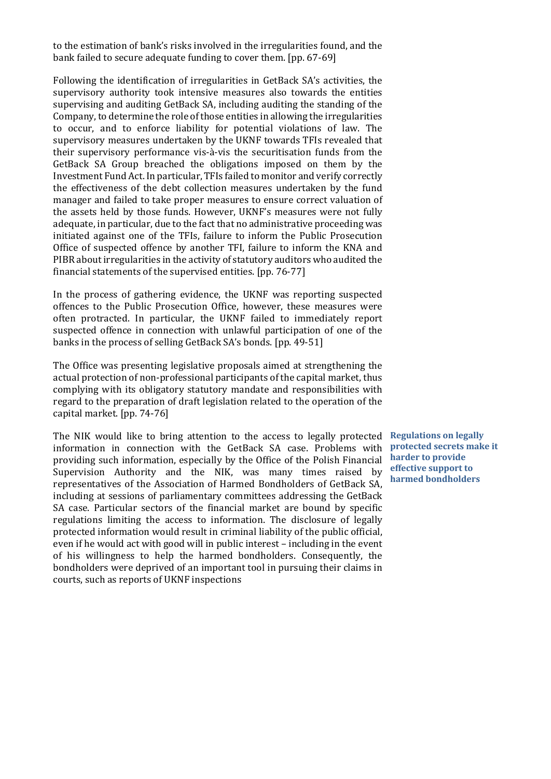to the estimation of bank's risks involved in the irregularities found, and the bank failed to secure adequate funding to cover them. [pp. 67-69]

Following the identification of irregularities in GetBack SA's activities, the supervisory authority took intensive measures also towards the entities supervising and auditing GetBack SA, including auditing the standing of the Company, to determine the role of those entities in allowing the irregularities to occur, and to enforce liability for potential violations of law. The supervisory measures undertaken by the UKNF towards TFIs revealed that their supervisory performance vis-à-vis the securitisation funds from the GetBack SA Group breached the obligations imposed on them by the Investment Fund Act. In particular, TFIs failed to monitor and verify correctly the effectiveness of the debt collection measures undertaken by the fund manager and failed to take proper measures to ensure correct valuation of the assets held by those funds. However, UKNF's measures were not fully adequate, in particular, due to the fact that no administrative proceeding was initiated against one of the TFIs, failure to inform the Public Prosecution Office of suspected offence by another TFI, failure to inform the KNA and PIBR about irregularities in the activity of statutory auditors who audited the financial statements of the supervised entities. [pp. 76-77]

In the process of gathering evidence, the UKNF was reporting suspected offences to the Public Prosecution Office, however, these measures were often protracted. In particular, the UKNF failed to immediately report suspected offence in connection with unlawful participation of one of the banks in the process of selling GetBack SA's bonds. [pp. 49-51]

The Office was presenting legislative proposals aimed at strengthening the actual protection of non-professional participants of the capital market, thus complying with its obligatory statutory mandate and responsibilities with regard to the preparation of draft legislation related to the operation of the capital market. [pp. 74-76]

The NIK would like to bring attention to the access to legally protected information in connection with the GetBack SA case. Problems with providing such information, especially by the Office of the Polish Financial Supervision Authority and the NIK, was many times raised by representatives of the Association of Harmed Bondholders of GetBack SA, including at sessions of parliamentary committees addressing the GetBack SA case. Particular sectors of the financial market are bound by specific regulations limiting the access to information. The disclosure of legally protected information would result in criminal liability of the public official, even if he would act with good will in public interest – including in the event of his willingness to help the harmed bondholders. Consequently, the bondholders were deprived of an important tool in pursuing their claims in courts, such as reports of UKNF inspections

**Regulations on legally protected secrets make it harder to provide effective support to harmed bondholders**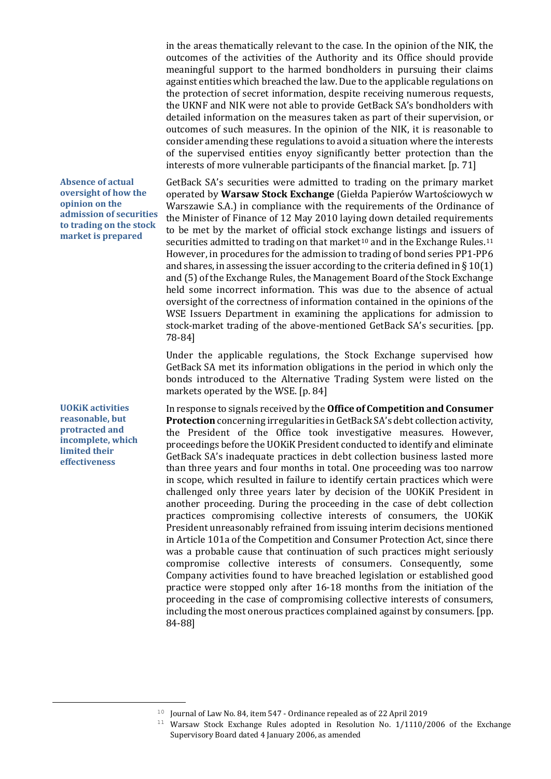in the areas thematically relevant to the case. In the opinion of the NIK, the outcomes of the activities of the Authority and its Office should provide meaningful support to the harmed bondholders in pursuing their claims against entities which breached the law. Due to the applicable regulations on the protection of secret information, despite receiving numerous requests, the UKNF and NIK were not able to provide GetBack SA's bondholders with detailed information on the measures taken as part of their supervision, or outcomes of such measures. In the opinion of the NIK, it is reasonable to consider amending these regulations to avoid a situation where the interests of the supervised entities enyoy significantly better protection than the interests of more vulnerable participants of the financial market. [p. 71]

GetBack SA's securities were admitted to trading on the primary market operated by **Warsaw Stock Exchange** (Giełda Papierów Wartościowych w Warszawie S.A.) in compliance with the requirements of the Ordinance of the Minister of Finance of 12 May 2010 laying down detailed requirements to be met by the market of official stock exchange listings and issuers of securities admitted to trading on that market<sup>[10](#page-21-0)</sup> and in the Exchange Rules.<sup>[11](#page-21-1)</sup> However, in procedures for the admission to trading of bond series PP1-PP6 and shares, in assessing the issuer according to the criteria defined in  $\S 10(1)$ and (5) of the Exchange Rules, the Management Board of the Stock Exchange held some incorrect information. This was due to the absence of actual oversight of the correctness of information contained in the opinions of the WSE Issuers Department in examining the applications for admission to stock-market trading of the above-mentioned GetBack SA's securities. [pp. 78-84]

Under the applicable regulations, the Stock Exchange supervised how GetBack SA met its information obligations in the period in which only the bonds introduced to the Alternative Trading System were listed on the markets operated by the WSE. [p. 84]

In response to signals received by the **Office of Competition and Consumer Protection** concerning irregularities in GetBack SA's debt collection activity, the President of the Office took investigative measures. However, proceedings before the UOKiK President conducted to identify and eliminate GetBack SA's inadequate practices in debt collection business lasted more than three years and four months in total. One proceeding was too narrow in scope, which resulted in failure to identify certain practices which were challenged only three years later by decision of the UOKiK President in another proceeding. During the proceeding in the case of debt collection practices compromising collective interests of consumers, the UOKiK President unreasonably refrained from issuing interim decisions mentioned in Article 101a of the Competition and Consumer Protection Act, since there was a probable cause that continuation of such practices might seriously compromise collective interests of consumers. Consequently, some Company activities found to have breached legislation or established good practice were stopped only after 16-18 months from the initiation of the proceeding in the case of compromising collective interests of consumers, including the most onerous practices complained against by consumers. [pp. 84-88]

**Absence of actual oversight of how the opinion on the admission of securities to trading on the stock market is prepared**

**UOKiK activities reasonable, but protracted and incomplete, which limited their effectiveness**

<span id="page-21-1"></span><span id="page-21-0"></span> $10$  Journal of Law No. 84, item 547 - Ordinance repealed as of 22 April 2019

 $11$  Warsaw Stock Exchange Rules adopted in Resolution No.  $1/1110/2006$  of the Exchange Supervisory Board dated 4 January 2006, as amended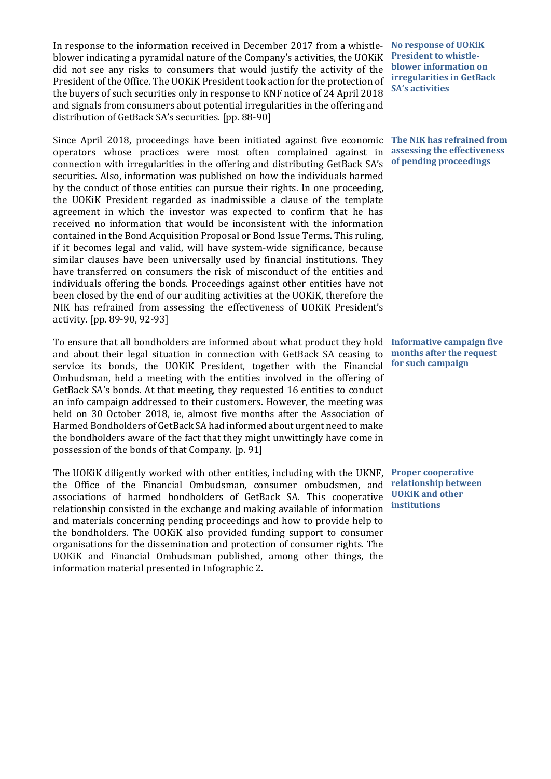In response to the information received in December 2017 from a whistleblower indicating a pyramidal nature of the Company's activities, the UOKiK did not see any risks to consumers that would justify the activity of the President of the Office. The UOKiK President took action for the protection of the buyers of such securities only in response to KNF notice of 24 April 2018 and signals from consumers about potential irregularities in the offering and distribution of GetBack SA's securities. [pp. 88-90]

Since April 2018, proceedings have been initiated against five economic **The NIK has refrained from**  operators whose practices were most often complained against in connection with irregularities in the offering and distributing GetBack SA's securities. Also, information was published on how the individuals harmed by the conduct of those entities can pursue their rights. In one proceeding, the UOKiK President regarded as inadmissible a clause of the template agreement in which the investor was expected to confirm that he has received no information that would be inconsistent with the information contained in the Bond Acquisition Proposal or Bond Issue Terms. This ruling, if it becomes legal and valid, will have system-wide significance, because similar clauses have been universally used by financial institutions. They have transferred on consumers the risk of misconduct of the entities and individuals offering the bonds. Proceedings against other entities have not been closed by the end of our auditing activities at the UOKiK, therefore the NIK has refrained from assessing the effectiveness of UOKiK President's activity. [pp. 89-90, 92-93]

To ensure that all bondholders are informed about what product they hold **Informative campaign five**  and about their legal situation in connection with GetBack SA ceasing to service its bonds, the UOKiK President, together with the Financial Ombudsman, held a meeting with the entities involved in the offering of GetBack SA's bonds. At that meeting, they requested 16 entities to conduct an info campaign addressed to their customers. However, the meeting was held on 30 October 2018, ie, almost five months after the Association of Harmed Bondholders of GetBack SA had informed about urgent need to make the bondholders aware of the fact that they might unwittingly have come in possession of the bonds of that Company. [p. 91]

The UOKiK diligently worked with other entities, including with the UKNF, the Office of the Financial Ombudsman, consumer ombudsmen, and associations of harmed bondholders of GetBack SA. This cooperative relationship consisted in the exchange and making available of information and materials concerning pending proceedings and how to provide help to the bondholders. The UOKiK also provided funding support to consumer organisations for the dissemination and protection of consumer rights. The UOKiK and Financial Ombudsman published, among other things, the information material presented in Infographic 2.

**No response of UOKiK President to whistleblower information on irregularities in GetBack SA's activities**

**assessing the effectiveness of pending proceedings**

**months after the request for such campaign**

**Proper cooperative relationship between UOKiK and other institutions**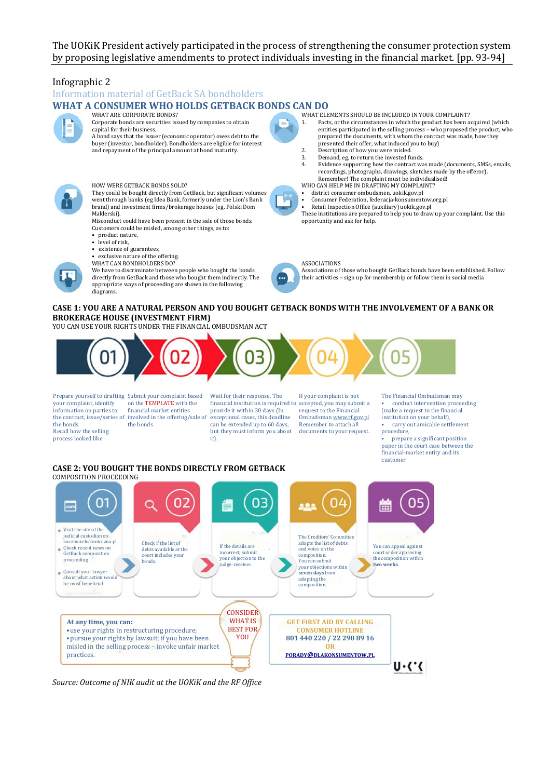#### The UOKiK President actively participated in the process of strengthening the consumer protection system by proposing legislative amendments to protect individuals investing in the financial market. [pp. 93-94]

### Infographic 2

Information material of GetBack SA bondholders

#### **WHAT A CONSUMER WHO HOLDS GETBACK BONDS CAN DO**

![](_page_23_Picture_4.jpeg)

WHAT ARE CORPORATE BONDS? Corporate bonds are securities issued by companies to obtain capital for their business.

![](_page_23_Picture_6.jpeg)

HOW WERE GETBACK BONDS SOLD?

They could be bought directly from GetBack, but significant volumes went through banks (eg Idea Bank, formerly under the Lion's Bank brand) and investment firms/brokerage houses (eg, Polski Dom

Maklerski). Misconduct could have been present in the sale of those bonds. Customers could be misled, among other things, as to:

- product nature,
- level of risk,

diagrams.

- existence of guarantees
- exclusive nature of the offering. WHAT CAN BONDHOLDERS DO?

We have to discriminate between people who bought the bonds directly from GetBack and those who bought them indirectly. The appropriate ways of proceeding are shown in the following

WHAT ELEMENTS SHOULD BE INCLUDED IN YOUR COMPLAINT?<br>1. Facts, or the circumstances in which the product has been a

- Facts, or the circumstances in which the product has been acquired (which entities participated in the selling process – who proposed the product, who prepared the documents, with whom the contract was made, how they presented their offer, what induced you to buy)
- 2. Description of how you were misled.<br>3. Demand. eg. to return the invested fi
- 3. Demand, eg, to return the invested funds.<br>4. Evidence supporting how the contract way 4. Evidence supporting how the contract was made (documents, SMSs, emails, recordings, photographs, drawings, sketches made by the offeror). Remember! The complaint must be individualised!
- WHO CAN HELP ME IN DRAFTING MY COMPLAINT?
- district consumer ombudsmen, uokik.gov.pl
- Consumer Federation, federacja-konsumentow.org.pl
- Retail Inspection Office (auxiliary) uokik.gov.pl These institutions are prepared to help you to draw up your complaint. Use this opportunity and ask for help.

#### ASSOCIATIONS

Associations of those who bought GetBack bonds have been established. Follow their activities – sign up for membership or follow them in social media

#### **CASE 1: YOU ARE A NATURAL PERSON AND YOU BOUGHT GETBACK BONDS WITH THE INVOLVEMENT OF A BANK OR BROKERAGE HOUSE (INVESTMENT FIRM)**

YOU CAN USE YOUR RIGHTS UNDER THE FINANCIAL OMBUDSMAN ACT

![](_page_23_Figure_28.jpeg)

your complaint, identify information on parties to the bonds Recall how the selling process looked like

Prepare yourself to drafting Submit your complaint based the contract, issue/series of involved in the offering/sale of on the TEMPLATE with the financial market entities the bonds

Wait for their response. The financial institution is required to accepted, you may submit a provide it within 30 days (In exceptional cases, this deadline can be extended up to 60 days, but they must inform you about it).

If your complaint is not request to the Financial Ombudsma[n www.rf.gov.pl](http://www.rf.gov.pl/) Remember to attach all documents to your request. The Financial Ombudsman may • conduct intervention proceeding (make a request to the financial institution on your behalf), • carry out amicable settlement procedure,

• prepare a significant position paper in the court case between the financial-market entity and its customer

#### **CASE 2: YOU BOUGHT THE BONDS DIRECTLY FROM GETBACK** COMPOSITION PROCEEDING

![](_page_23_Figure_36.jpeg)

*Source: Outcome of NIK audit at the UOKiK and the RF Office*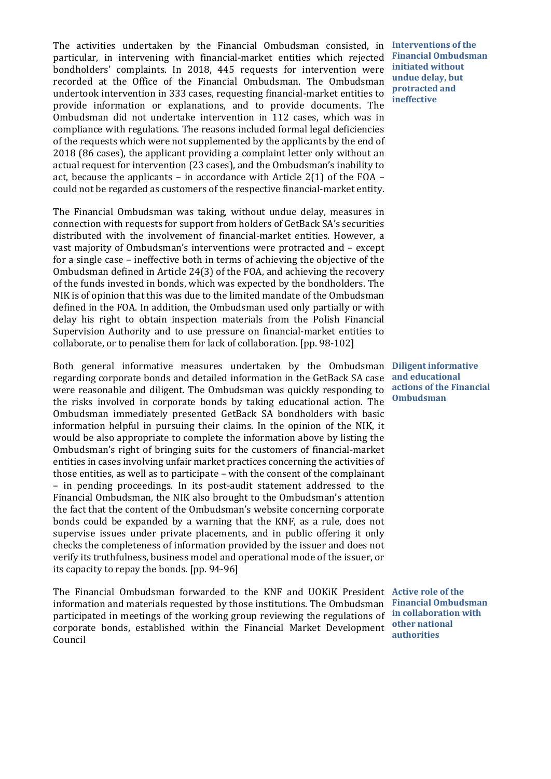The activities undertaken by the Financial Ombudsman consisted, in **Interventions of the**  particular, in intervening with financial-market entities which rejected bondholders' complaints. In 2018, 445 requests for intervention were recorded at the Office of the Financial Ombudsman. The Ombudsman undertook intervention in 333 cases, requesting financial-market entities to provide information or explanations, and to provide documents. The Ombudsman did not undertake intervention in 112 cases, which was in compliance with regulations. The reasons included formal legal deficiencies of the requests which were not supplemented by the applicants by the end of 2018 (86 cases), the applicant providing a complaint letter only without an actual request for intervention (23 cases), and the Ombudsman's inability to act, because the applicants – in accordance with Article  $2(1)$  of the FOA – could not be regarded as customers of the respective financial-market entity.

The Financial Ombudsman was taking, without undue delay, measures in connection with requests for support from holders of GetBack SA's securities distributed with the involvement of financial-market entities. However, a vast majority of Ombudsman's interventions were protracted and – except for a single case – ineffective both in terms of achieving the objective of the Ombudsman defined in Article 24(3) of the FOA, and achieving the recovery of the funds invested in bonds, which was expected by the bondholders. The NIK is of opinion that this was due to the limited mandate of the Ombudsman defined in the FOA. In addition, the Ombudsman used only partially or with delay his right to obtain inspection materials from the Polish Financial Supervision Authority and to use pressure on financial-market entities to collaborate, or to penalise them for lack of collaboration. [pp. 98-102]

Both general informative measures undertaken by the Ombudsman **Diligent informative**  regarding corporate bonds and detailed information in the GetBack SA case were reasonable and diligent. The Ombudsman was quickly responding to the risks involved in corporate bonds by taking educational action. The Ombudsman immediately presented GetBack SA bondholders with basic information helpful in pursuing their claims. In the opinion of the NIK, it would be also appropriate to complete the information above by listing the Ombudsman's right of bringing suits for the customers of financial-market entities in cases involving unfair market practices concerning the activities of those entities, as well as to participate – with the consent of the complainant – in pending proceedings. In its post-audit statement addressed to the Financial Ombudsman, the NIK also brought to the Ombudsman's attention the fact that the content of the Ombudsman's website concerning corporate bonds could be expanded by a warning that the KNF, as a rule, does not supervise issues under private placements, and in public offering it only checks the completeness of information provided by the issuer and does not verify its truthfulness, business model and operational mode of the issuer, or its capacity to repay the bonds. [pp. 94-96]

The Financial Ombudsman forwarded to the KNF and UOKiK President **Active role of the**  information and materials requested by those institutions. The Ombudsman **Financial Ombudsman**  participated in meetings of the working group reviewing the regulations of **in collaboration with**  corporate bonds, established within the Financial Market Development Council

**Financial Ombudsman initiated without undue delay, but protracted and ineffective**

**and educational actions of the Financial Ombudsman**

**other national authorities**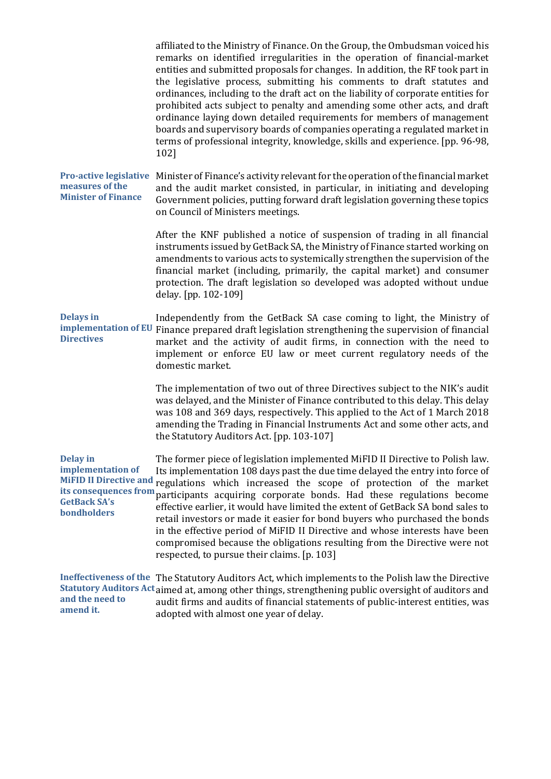|                                                                                                                                      | affiliated to the Ministry of Finance. On the Group, the Ombudsman voiced his<br>remarks on identified irregularities in the operation of financial-market<br>entities and submitted proposals for changes. In addition, the RF took part in<br>the legislative process, submitting his comments to draft statutes and<br>ordinances, including to the draft act on the liability of corporate entities for<br>prohibited acts subject to penalty and amending some other acts, and draft<br>ordinance laying down detailed requirements for members of management<br>boards and supervisory boards of companies operating a regulated market in<br>terms of professional integrity, knowledge, skills and experience. [pp. 96-98,<br>102] |
|--------------------------------------------------------------------------------------------------------------------------------------|--------------------------------------------------------------------------------------------------------------------------------------------------------------------------------------------------------------------------------------------------------------------------------------------------------------------------------------------------------------------------------------------------------------------------------------------------------------------------------------------------------------------------------------------------------------------------------------------------------------------------------------------------------------------------------------------------------------------------------------------|
| <b>Pro-active legislative</b><br>measures of the<br><b>Minister of Finance</b>                                                       | Minister of Finance's activity relevant for the operation of the financial market<br>and the audit market consisted, in particular, in initiating and developing<br>Government policies, putting forward draft legislation governing these topics<br>on Council of Ministers meetings.                                                                                                                                                                                                                                                                                                                                                                                                                                                     |
|                                                                                                                                      | After the KNF published a notice of suspension of trading in all financial<br>instruments issued by GetBack SA, the Ministry of Finance started working on<br>amendments to various acts to systemically strengthen the supervision of the<br>financial market (including, primarily, the capital market) and consumer<br>protection. The draft legislation so developed was adopted without undue<br>delay. [pp. 102-109]                                                                                                                                                                                                                                                                                                                 |
| <b>Delays in</b><br>implementation of EU<br><b>Directives</b>                                                                        | Independently from the GetBack SA case coming to light, the Ministry of<br>Finance prepared draft legislation strengthening the supervision of financial<br>market and the activity of audit firms, in connection with the need to<br>implement or enforce EU law or meet current regulatory needs of the<br>domestic market.                                                                                                                                                                                                                                                                                                                                                                                                              |
|                                                                                                                                      | The implementation of two out of three Directives subject to the NIK's audit<br>was delayed, and the Minister of Finance contributed to this delay. This delay<br>was 108 and 369 days, respectively. This applied to the Act of 1 March 2018<br>amending the Trading in Financial Instruments Act and some other acts, and<br>the Statutory Auditors Act. [pp. 103-107]                                                                                                                                                                                                                                                                                                                                                                   |
| <b>Delay</b> in<br>implementation of<br><b>MiFID II Directive and</b><br>its consequences from<br><b>GetBack SA's</b><br>bondholders | The former piece of legislation implemented MiFID II Directive to Polish law.<br>Its implementation 108 days past the due time delayed the entry into force of<br>regulations which increased the scope of protection of the market<br>participants acquiring corporate bonds. Had these regulations become<br>effective earlier, it would have limited the extent of GetBack SA bond sales to<br>retail investors or made it easier for bond buyers who purchased the bonds<br>in the effective period of MiFID II Directive and whose interests have been<br>compromised because the obligations resulting from the Directive were not<br>respected, to pursue their claims. [p. 103]                                                    |
| and the need to<br>amend it.                                                                                                         | Ineffectiveness of the The Statutory Auditors Act, which implements to the Polish law the Directive<br>Statutory Auditors Act aimed at, among other things, strengthening public oversight of auditors and<br>audit firms and audits of financial statements of public-interest entities, was<br>adonted with almost one year of delay                                                                                                                                                                                                                                                                                                                                                                                                     |

adopted with almost one year of delay.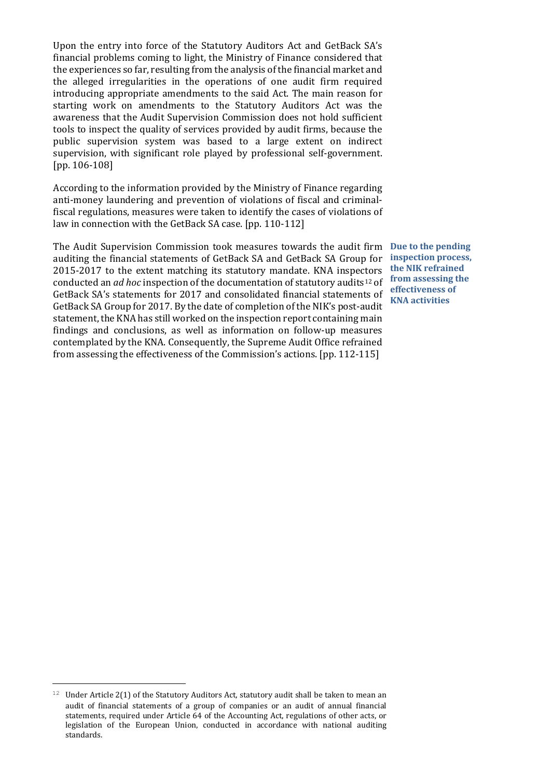Upon the entry into force of the Statutory Auditors Act and GetBack SA's financial problems coming to light, the Ministry of Finance considered that the experiences so far, resulting from the analysis of the financial market and the alleged irregularities in the operations of one audit firm required introducing appropriate amendments to the said Act. The main reason for starting work on amendments to the Statutory Auditors Act was the awareness that the Audit Supervision Commission does not hold sufficient tools to inspect the quality of services provided by audit firms, because the public supervision system was based to a large extent on indirect supervision, with significant role played by professional self-government. [pp. 106-108]

According to the information provided by the Ministry of Finance regarding anti-money laundering and prevention of violations of fiscal and criminalfiscal regulations, measures were taken to identify the cases of violations of law in connection with the GetBack SA case. [pp. 110-112]

The Audit Supervision Commission took measures towards the audit firm **Due to the pending**  auditing the financial statements of GetBack SA and GetBack SA Group for 2015-2017 to the extent matching its statutory mandate. KNA inspectors conducted an *ad hoc* inspection of the documentation of statutory audits[12](#page-26-0) of GetBack SA's statements for 2017 and consolidated financial statements of GetBack SA Group for 2017. By the date of completion of the NIK's post-audit statement, the KNA has still worked on the inspection report containing main findings and conclusions, as well as information on follow-up measures contemplated by the KNA. Consequently, the Supreme Audit Office refrained from assessing the effectiveness of the Commission's actions. [pp. 112-115]

**inspection process, the NIK refrained from assessing the effectiveness of KNA activities**

<span id="page-26-0"></span>Ĩ.  $12$  Under Article 2(1) of the Statutory Auditors Act, statutory audit shall be taken to mean an audit of financial statements of a group of companies or an audit of annual financial statements, required under Article 64 of the Accounting Act, regulations of other acts, or legislation of the European Union, conducted in accordance with national auditing standards.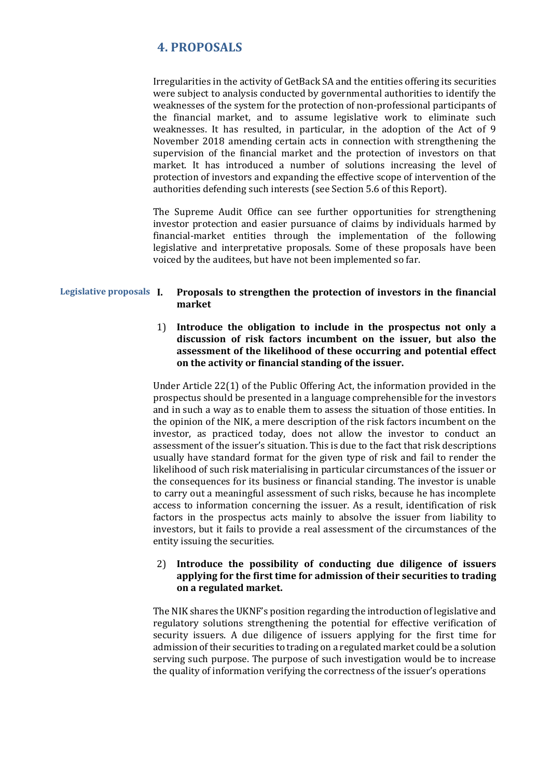## <span id="page-27-0"></span>**4. PROPOSALS**

Irregularities in the activity of GetBack SA and the entities offering its securities were subject to analysis conducted by governmental authorities to identify the weaknesses of the system for the protection of non-professional participants of the financial market, and to assume legislative work to eliminate such weaknesses. It has resulted, in particular, in the adoption of the Act of 9 November 2018 amending certain acts in connection with strengthening the supervision of the financial market and the protection of investors on that market. It has introduced a number of solutions increasing the level of protection of investors and expanding the effective scope of intervention of the authorities defending such interests (see Section 5.6 of this Report).

The Supreme Audit Office can see further opportunities for strengthening investor protection and easier pursuance of claims by individuals harmed by financial-market entities through the implementation of the following legislative and interpretative proposals. Some of these proposals have been voiced by the auditees, but have not been implemented so far.

#### **Legislative proposals I. Proposals to strengthen the protection of investors in the financial market**

#### 1) **Introduce the obligation to include in the prospectus not only a discussion of risk factors incumbent on the issuer, but also the assessment of the likelihood of these occurring and potential effect on the activity or financial standing of the issuer.**

Under Article 22(1) of the Public Offering Act, the information provided in the prospectus should be presented in a language comprehensible for the investors and in such a way as to enable them to assess the situation of those entities. In the opinion of the NIK, a mere description of the risk factors incumbent on the investor, as practiced today, does not allow the investor to conduct an assessment of the issuer's situation. This is due to the fact that risk descriptions usually have standard format for the given type of risk and fail to render the likelihood of such risk materialising in particular circumstances of the issuer or the consequences for its business or financial standing. The investor is unable to carry out a meaningful assessment of such risks, because he has incomplete access to information concerning the issuer. As a result, identification of risk factors in the prospectus acts mainly to absolve the issuer from liability to investors, but it fails to provide a real assessment of the circumstances of the entity issuing the securities.

#### 2) **Introduce the possibility of conducting due diligence of issuers applying for the first time for admission of their securities to trading on a regulated market.**

The NIK shares the UKNF's position regarding the introduction of legislative and regulatory solutions strengthening the potential for effective verification of security issuers. A due diligence of issuers applying for the first time for admission of their securities to trading on a regulated market could be a solution serving such purpose. The purpose of such investigation would be to increase the quality of information verifying the correctness of the issuer's operations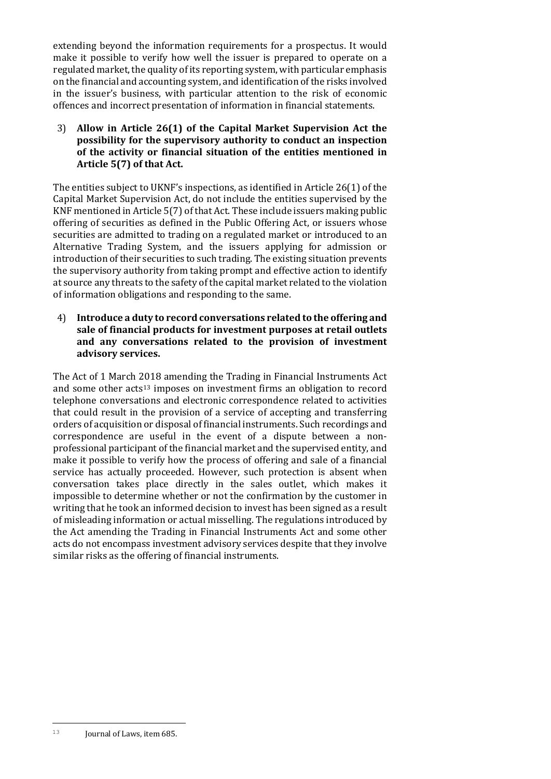extending beyond the information requirements for a prospectus. It would make it possible to verify how well the issuer is prepared to operate on a regulated market, the quality of its reporting system, with particular emphasis on the financial and accounting system, and identification of the risks involved in the issuer's business, with particular attention to the risk of economic offences and incorrect presentation of information in financial statements.

3) **Allow in Article 26(1) of the Capital Market Supervision Act the possibility for the supervisory authority to conduct an inspection of the activity or financial situation of the entities mentioned in Article 5(7) of that Act.**

The entities subject to UKNF's inspections, as identified in Article 26(1) of the Capital Market Supervision Act, do not include the entities supervised by the KNF mentioned in Article 5(7) of that Act. These include issuers making public offering of securities as defined in the Public Offering Act, or issuers whose securities are admitted to trading on a regulated market or introduced to an Alternative Trading System, and the issuers applying for admission or introduction of their securities to such trading. The existing situation prevents the supervisory authority from taking prompt and effective action to identify at source any threats to the safety of the capital market related to the violation of information obligations and responding to the same.

4) **Introduce a duty to record conversations related to the offering and sale of financial products for investment purposes at retail outlets and any conversations related to the provision of investment advisory services.**

<span id="page-28-0"></span>The Act of 1 March 2018 amending the Trading in Financial Instruments Act and some other acts<sup>[13](#page-28-0)</sup> imposes on investment firms an obligation to record telephone conversations and electronic correspondence related to activities that could result in the provision of a service of accepting and transferring orders of acquisition or disposal of financial instruments. Such recordings and correspondence are useful in the event of a dispute between a nonprofessional participant of the financial market and the supervised entity, and make it possible to verify how the process of offering and sale of a financial service has actually proceeded. However, such protection is absent when conversation takes place directly in the sales outlet, which makes it impossible to determine whether or not the confirmation by the customer in writing that he took an informed decision to invest has been signed as a result of misleading information or actual misselling. The regulations introduced by the Act amending the Trading in Financial Instruments Act and some other acts do not encompass investment advisory services despite that they involve similar risks as the offering of financial instruments.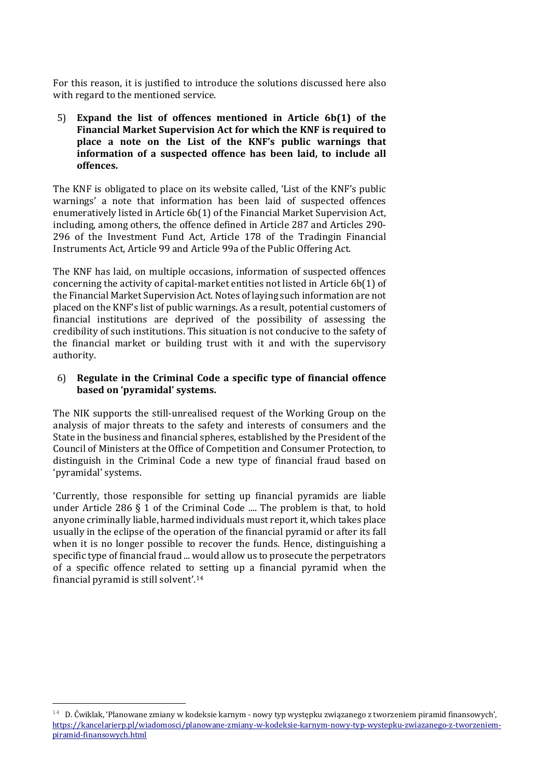For this reason, it is justified to introduce the solutions discussed here also with regard to the mentioned service.

5) **Expand the list of offences mentioned in Article 6b(1) of the Financial Market Supervision Act for which the KNF is required to place a note on the List of the KNF's public warnings that information of a suspected offence has been laid, to include all offences.**

The KNF is obligated to place on its website called, 'List of the KNF's public warnings' a note that information has been laid of suspected offences enumeratively listed in Article 6b(1) of the Financial Market Supervision Act, including, among others, the offence defined in Article 287 and Articles 290- 296 of the Investment Fund Act, Article 178 of the Tradingin Financial Instruments Act, Article 99 and Article 99a of the Public Offering Act.

The KNF has laid, on multiple occasions, information of suspected offences concerning the activity of capital-market entities not listed in Article 6b(1) of the Financial Market Supervision Act. Notes of laying such information are not placed on the KNF's list of public warnings. As a result, potential customers of financial institutions are deprived of the possibility of assessing the credibility of such institutions. This situation is not conducive to the safety of the financial market or building trust with it and with the supervisory authority.

### 6) **Regulate in the Criminal Code a specific type of financial offence based on 'pyramidal' systems.**

The NIK supports the still-unrealised request of the Working Group on the analysis of major threats to the safety and interests of consumers and the State in the business and financial spheres, established by the President of the Council of Ministers at the Office of Competition and Consumer Protection, to distinguish in the Criminal Code a new type of financial fraud based on 'pyramidal' systems.

'Currently, those responsible for setting up financial pyramids are liable under Article 286 § 1 of the Criminal Code .... The problem is that, to hold anyone criminally liable, harmed individuals must report it, which takes place usually in the eclipse of the operation of the financial pyramid or after its fall when it is no longer possible to recover the funds. Hence, distinguishing a specific type of financial fraud ... would allow us to prosecute the perpetrators of a specific offence related to setting up a financial pyramid when the financial pyramid is still solvent'.[14](#page-29-0)

<span id="page-29-0"></span>Ĩ.  $^{14}$  D. Čwiklak, 'Planowane zmiany w kodeksie karnym - nowy typ występku związanego z tworzeniem piramid finansowych', [https://kancelarierp.pl/wiadomosci/planowane-](https://kancelarierp.pl/wiadomosci/planowane-zmiany-w-kodeksie-karnym-nowy-typ-wystepku-zwiazanego-z-tworzeniem-piramid-finansowych.html)zmiany-w-kodeksie-karnym-nowy-typ-wystepku-zwiazanego-z-tworzeniem[piramid-finansowych.html](https://kancelarierp.pl/wiadomosci/planowane-zmiany-w-kodeksie-karnym-nowy-typ-wystepku-zwiazanego-z-tworzeniem-piramid-finansowych.html)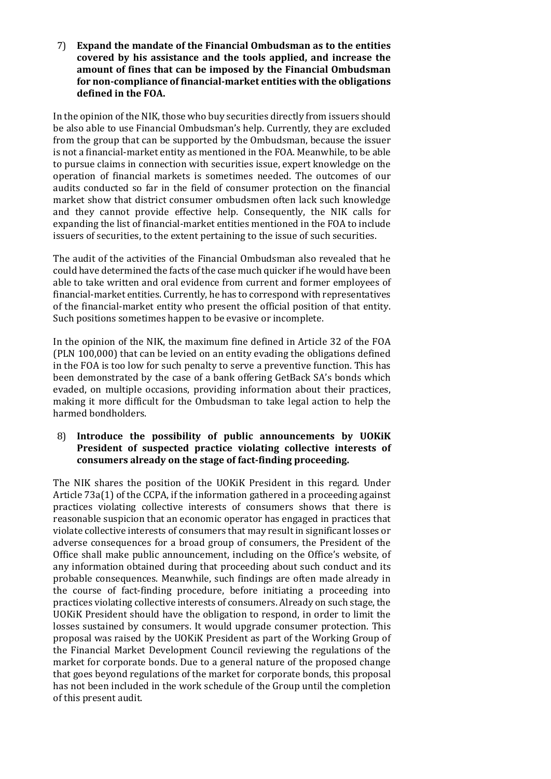7) **Expand the mandate of the Financial Ombudsman as to the entities covered by his assistance and the tools applied, and increase the amount of fines that can be imposed by the Financial Ombudsman for non-compliance of financial-market entities with the obligations defined in the FOA.**

In the opinion of the NIK, those who buy securities directly from issuers should be also able to use Financial Ombudsman's help. Currently, they are excluded from the group that can be supported by the Ombudsman, because the issuer is not a financial-market entity as mentioned in the FOA. Meanwhile, to be able to pursue claims in connection with securities issue, expert knowledge on the operation of financial markets is sometimes needed. The outcomes of our audits conducted so far in the field of consumer protection on the financial market show that district consumer ombudsmen often lack such knowledge and they cannot provide effective help. Consequently, the NIK calls for expanding the list of financial-market entities mentioned in the FOA to include issuers of securities, to the extent pertaining to the issue of such securities.

The audit of the activities of the Financial Ombudsman also revealed that he could have determined the facts of the case much quicker if he would have been able to take written and oral evidence from current and former employees of financial-market entities. Currently, he has to correspond with representatives of the financial-market entity who present the official position of that entity. Such positions sometimes happen to be evasive or incomplete.

In the opinion of the NIK, the maximum fine defined in Article 32 of the FOA (PLN 100,000) that can be levied on an entity evading the obligations defined in the FOA is too low for such penalty to serve a preventive function. This has been demonstrated by the case of a bank offering GetBack SA's bonds which evaded, on multiple occasions, providing information about their practices, making it more difficult for the Ombudsman to take legal action to help the harmed bondholders.

#### 8) **Introduce the possibility of public announcements by UOKiK President of suspected practice violating collective interests of consumers already on the stage of fact-finding proceeding.**

The NIK shares the position of the UOKiK President in this regard. Under Article 73a(1) of the CCPA, if the information gathered in a proceeding against practices violating collective interests of consumers shows that there is reasonable suspicion that an economic operator has engaged in practices that violate collective interests of consumers that may result in significant losses or adverse consequences for a broad group of consumers, the President of the Office shall make public announcement, including on the Office's website, of any information obtained during that proceeding about such conduct and its probable consequences. Meanwhile, such findings are often made already in the course of fact-finding procedure, before initiating a proceeding into practices violating collective interests of consumers. Already on such stage, the UOKiK President should have the obligation to respond, in order to limit the losses sustained by consumers. It would upgrade consumer protection. This proposal was raised by the UOKiK President as part of the Working Group of the Financial Market Development Council reviewing the regulations of the market for corporate bonds. Due to a general nature of the proposed change that goes beyond regulations of the market for corporate bonds, this proposal has not been included in the work schedule of the Group until the completion of this present audit.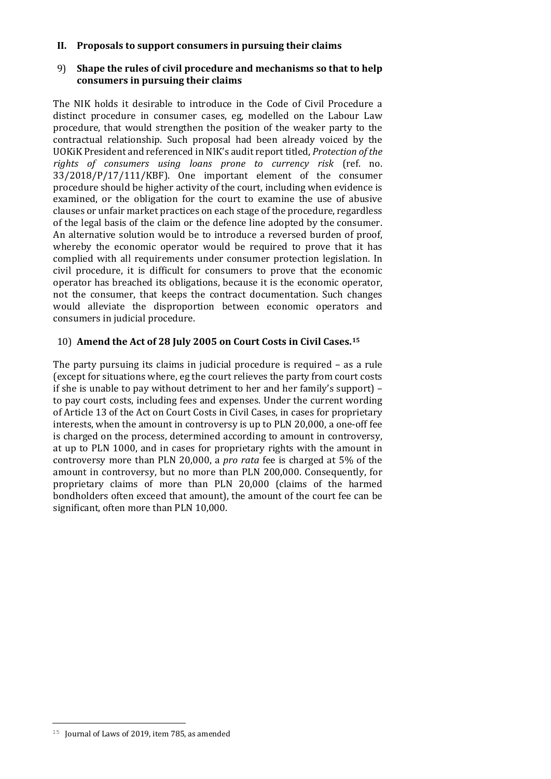#### **II. Proposals to support consumers in pursuing their claims**

#### 9) **Shape the rules of civil procedure and mechanisms so that to help consumers in pursuing their claims**

The NIK holds it desirable to introduce in the Code of Civil Procedure a distinct procedure in consumer cases, eg, modelled on the Labour Law procedure, that would strengthen the position of the weaker party to the contractual relationship. Such proposal had been already voiced by the UOKiK President and referenced in NIK's audit report titled, *Protection of the rights of consumers using loans prone to currency risk* (ref. no. 33/2018/P/17/111/KBF). One important element of the consumer procedure should be higher activity of the court, including when evidence is examined, or the obligation for the court to examine the use of abusive clauses or unfair market practices on each stage of the procedure, regardless of the legal basis of the claim or the defence line adopted by the consumer. An alternative solution would be to introduce a reversed burden of proof, whereby the economic operator would be required to prove that it has complied with all requirements under consumer protection legislation. In civil procedure, it is difficult for consumers to prove that the economic operator has breached its obligations, because it is the economic operator, not the consumer, that keeps the contract documentation. Such changes would alleviate the disproportion between economic operators and consumers in judicial procedure.

### 10) **Amend the Act of 28 July 2005 on Court Costs in Civil Cases.[15](#page-31-0)**

The party pursuing its claims in judicial procedure is required – as a rule (except for situations where, eg the court relieves the party from court costs if she is unable to pay without detriment to her and her family's support) – to pay court costs, including fees and expenses. Under the current wording of Article 13 of the Act on Court Costs in Civil Cases, in cases for proprietary interests, when the amount in controversy is up to PLN 20,000, a one-off fee is charged on the process, determined according to amount in controversy, at up to PLN 1000, and in cases for proprietary rights with the amount in controversy more than PLN 20,000, a *pro rata* fee is charged at 5% of the amount in controversy, but no more than PLN 200,000. Consequently, for proprietary claims of more than PLN 20,000 (claims of the harmed bondholders often exceed that amount), the amount of the court fee can be significant, often more than PLN 10,000.

<span id="page-31-0"></span>Ĩ.  $15$  Journal of Laws of 2019, item 785, as amended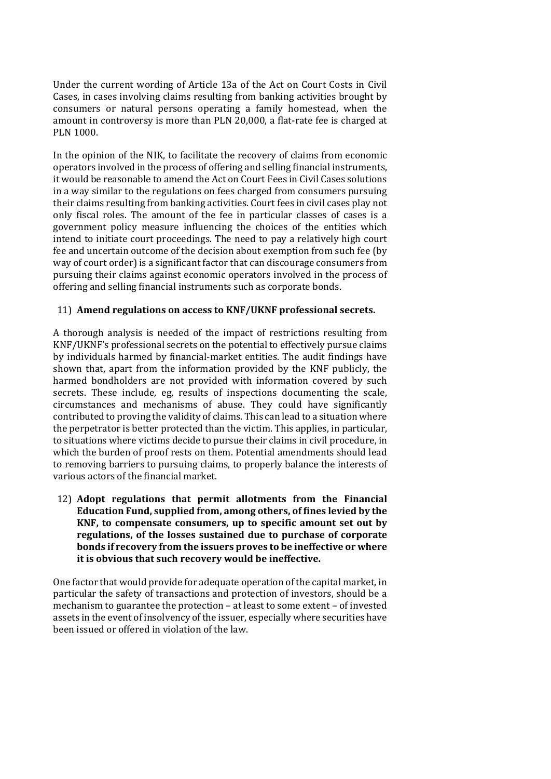Under the current wording of Article 13a of the Act on Court Costs in Civil Cases, in cases involving claims resulting from banking activities brought by consumers or natural persons operating a family homestead, when the amount in controversy is more than PLN 20,000, a flat-rate fee is charged at PLN 1000.

In the opinion of the NIK, to facilitate the recovery of claims from economic operators involved in the process of offering and selling financial instruments, it would be reasonable to amend the Act on Court Fees in Civil Cases solutions in a way similar to the regulations on fees charged from consumers pursuing their claims resulting from banking activities. Court fees in civil cases play not only fiscal roles. The amount of the fee in particular classes of cases is a government policy measure influencing the choices of the entities which intend to initiate court proceedings. The need to pay a relatively high court fee and uncertain outcome of the decision about exemption from such fee (by way of court order) is a significant factor that can discourage consumers from pursuing their claims against economic operators involved in the process of offering and selling financial instruments such as corporate bonds.

#### 11) **Amend regulations on access to KNF/UKNF professional secrets.**

A thorough analysis is needed of the impact of restrictions resulting from KNF/UKNF's professional secrets on the potential to effectively pursue claims by individuals harmed by financial-market entities. The audit findings have shown that, apart from the information provided by the KNF publicly, the harmed bondholders are not provided with information covered by such secrets. These include, eg, results of inspections documenting the scale, circumstances and mechanisms of abuse. They could have significantly contributed to proving the validity of claims. This can lead to a situation where the perpetrator is better protected than the victim. This applies, in particular, to situations where victims decide to pursue their claims in civil procedure, in which the burden of proof rests on them. Potential amendments should lead to removing barriers to pursuing claims, to properly balance the interests of various actors of the financial market.

12) **Adopt regulations that permit allotments from the Financial Education Fund, supplied from, among others, of fines levied by the KNF, to compensate consumers, up to specific amount set out by regulations, of the losses sustained due to purchase of corporate bonds if recovery from the issuers proves to be ineffective or where it is obvious that such recovery would be ineffective.**

One factor that would provide for adequate operation of the capital market, in particular the safety of transactions and protection of investors, should be a mechanism to guarantee the protection – at least to some extent – of invested assets in the event of insolvency of the issuer, especially where securities have been issued or offered in violation of the law.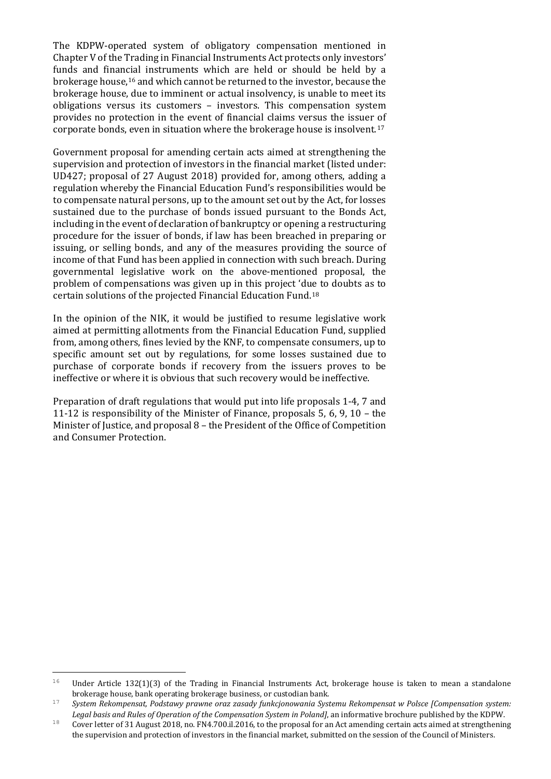The KDPW-operated system of obligatory compensation mentioned in Chapter V of the Trading in Financial Instruments Act protects only investors' funds and financial instruments which are held or should be held by a brokerage house,[16](#page-33-0) and which cannot be returned to the investor, because the brokerage house, due to imminent or actual insolvency, is unable to meet its obligations versus its customers – investors. This compensation system provides no protection in the event of financial claims versus the issuer of corporate bonds, even in situation where the brokerage house is insolvent.[17](#page-33-1)

Government proposal for amending certain acts aimed at strengthening the supervision and protection of investors in the financial market (listed under: UD427; proposal of 27 August 2018) provided for, among others, adding a regulation whereby the Financial Education Fund's responsibilities would be to compensate natural persons, up to the amount set out by the Act, for losses sustained due to the purchase of bonds issued pursuant to the Bonds Act, including in the event of declaration of bankruptcy or opening a restructuring procedure for the issuer of bonds, if law has been breached in preparing or issuing, or selling bonds, and any of the measures providing the source of income of that Fund has been applied in connection with such breach. During governmental legislative work on the above-mentioned proposal, the problem of compensations was given up in this project 'due to doubts as to certain solutions of the projected Financial Education Fund.[18](#page-33-2)

In the opinion of the NIK, it would be justified to resume legislative work aimed at permitting allotments from the Financial Education Fund, supplied from, among others, fines levied by the KNF, to compensate consumers, up to specific amount set out by regulations, for some losses sustained due to purchase of corporate bonds if recovery from the issuers proves to be ineffective or where it is obvious that such recovery would be ineffective.

Preparation of draft regulations that would put into life proposals 1-4, 7 and 11-12 is responsibility of the Minister of Finance, proposals 5, 6, 9, 10 – the Minister of Justice, and proposal 8 – the President of the Office of Competition and Consumer Protection.

<span id="page-33-0"></span><sup>16</sup> Under Article 132(1)(3) of the Trading in Financial Instruments Act, brokerage house is taken to mean a standalone brokerage house, bank operating brokerage business, or custodian bank.

<span id="page-33-1"></span><sup>&</sup>lt;sup>17</sup> System Rekompensat, Podstawy prawne oraz zasady funkcjonowania Systemu Rekompensat w Polsce [Compensation system: Legal basis and Rules of Operation of the Compensation System in Poland], an informative brochure published by the KDPW.<br>Cover letter of 31 August 2018, no. FN4.700.il.2016, to the proposal for an Act amending certain acts

<span id="page-33-2"></span>the supervision and protection of investors in the financial market, submitted on the session of the Council of Ministers.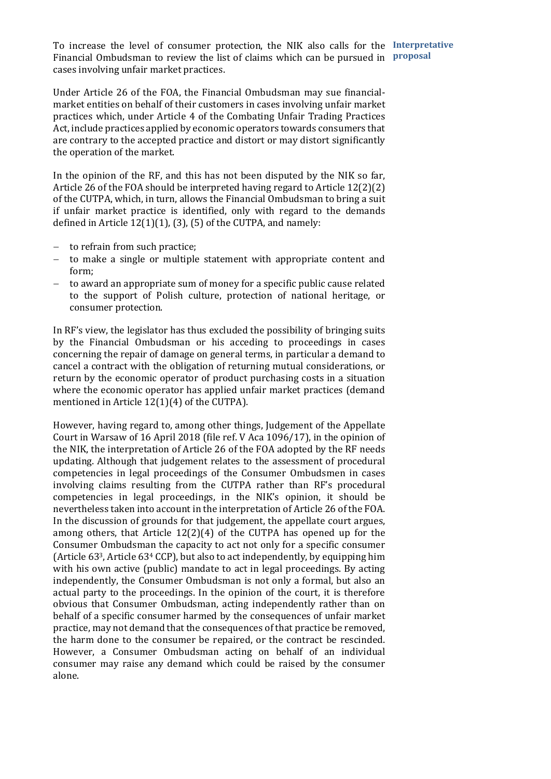To increase the level of consumer protection, the NIK also calls for the **Interpretative**  Financial Ombudsman to review the list of claims which can be pursued in **proposal**cases involving unfair market practices.

Under Article 26 of the FOA, the Financial Ombudsman may sue financialmarket entities on behalf of their customers in cases involving unfair market practices which, under Article 4 of the Combating Unfair Trading Practices Act, include practices applied by economic operators towards consumers that are contrary to the accepted practice and distort or may distort significantly the operation of the market.

In the opinion of the RF, and this has not been disputed by the NIK so far, Article 26 of the FOA should be interpreted having regard to Article 12(2)(2) of the CUTPA, which, in turn, allows the Financial Ombudsman to bring a suit if unfair market practice is identified, only with regard to the demands defined in Article 12(1)(1), (3), (5) of the CUTPA, and namely:

- − to refrain from such practice;
- − to make a single or multiple statement with appropriate content and form;
- to award an appropriate sum of money for a specific public cause related to the support of Polish culture, protection of national heritage, or consumer protection.

In RF's view, the legislator has thus excluded the possibility of bringing suits by the Financial Ombudsman or his acceding to proceedings in cases concerning the repair of damage on general terms, in particular a demand to cancel a contract with the obligation of returning mutual considerations, or return by the economic operator of product purchasing costs in a situation where the economic operator has applied unfair market practices (demand mentioned in Article 12(1)(4) of the CUTPA).

However, having regard to, among other things, Judgement of the Appellate Court in Warsaw of 16 April 2018 (file ref. V Aca 1096/17), in the opinion of the NIK, the interpretation of Article 26 of the FOA adopted by the RF needs updating. Although that judgement relates to the assessment of procedural competencies in legal proceedings of the Consumer Ombudsmen in cases involving claims resulting from the CUTPA rather than RF's procedural competencies in legal proceedings, in the NIK's opinion, it should be nevertheless taken into account in the interpretation of Article 26 of the FOA. In the discussion of grounds for that judgement, the appellate court argues, among others, that Article 12(2)(4) of the CUTPA has opened up for the Consumer Ombudsman the capacity to act not only for a specific consumer (Article 633, Article 634 CCP), but also to act independently, by equipping him with his own active (public) mandate to act in legal proceedings. By acting independently, the Consumer Ombudsman is not only a formal, but also an actual party to the proceedings. In the opinion of the court, it is therefore obvious that Consumer Ombudsman, acting independently rather than on behalf of a specific consumer harmed by the consequences of unfair market practice, may not demand that the consequences of that practice be removed, the harm done to the consumer be repaired, or the contract be rescinded. However, a Consumer Ombudsman acting on behalf of an individual consumer may raise any demand which could be raised by the consumer alone.